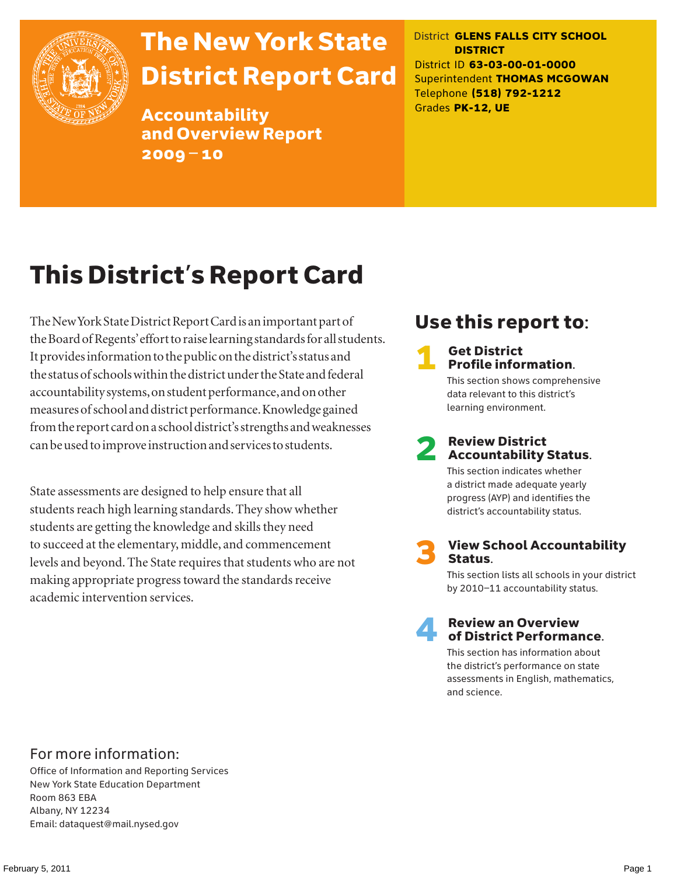

# The New York State District Report Card

Accountability and Overview Report 2009–10

District **GLENS FALLS CITY SCHOOL DISTRICT** District ID **63-03-00-01-0000** Superintendent **THOMAS MCGOWAN** Telephone **(518) 792-1212** Grades **PK-12, UE**

# This District's Report Card

The New York State District Report Card is an important part of the Board of Regents' effort to raise learning standards for all students. It provides information to the public on the district's status and the status of schools within the district under the State and federal accountability systems, on student performance, and on other measures of school and district performance. Knowledge gained from the report card on a school district's strengths and weaknesses can be used to improve instruction and services to students.

State assessments are designed to help ensure that all students reach high learning standards. They show whether students are getting the knowledge and skills they need to succeed at the elementary, middle, and commencement levels and beyond. The State requires that students who are not making appropriate progress toward the standards receive academic intervention services.

# Use this report to:

## **Get District** Profile information.

This section shows comprehensive data relevant to this district's learning environment.

# **2** Review District<br>Accountability Status.

This section indicates whether a district made adequate yearly progress (AYP) and identifies the district's accountability status.

**View School Accountability** Status.

This section lists all schools in your district by 2010–11 accountability status.



## **Review an Overview** of District Performance.

This section has information about the district's performance on state assessments in English, mathematics, and science.

## For more information:

Office of Information and Reporting Services New York State Education Department Room 863 EBA Albany, NY 12234 Email: dataquest@mail.nysed.gov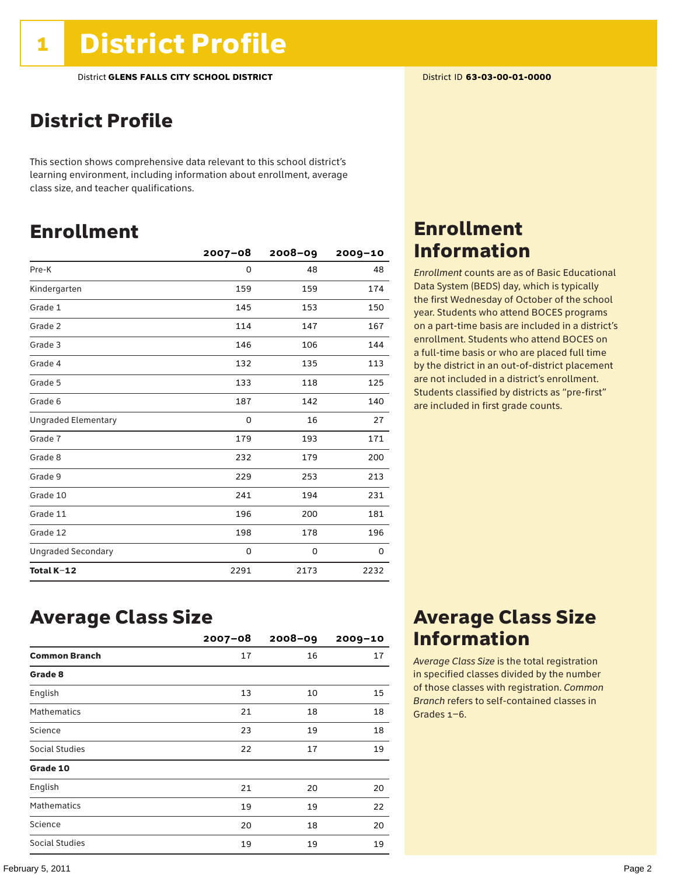# District Profile

This section shows comprehensive data relevant to this school district's learning environment, including information about enrollment, average class size, and teacher qualifications.

# Enrollment

|                            | $2007 - 08$ | $2008 - 09$ | $2009 - 10$ |
|----------------------------|-------------|-------------|-------------|
| Pre-K                      | 0           | 48          | 48          |
| Kindergarten               | 159         | 159         | 174         |
| Grade 1                    | 145         | 153         | 150         |
| Grade 2                    | 114         | 147         | 167         |
| Grade 3                    | 146         | 106         | 144         |
| Grade 4                    | 132         | 135         | 113         |
| Grade 5                    | 133         | 118         | 125         |
| Grade 6                    | 187         | 142         | 140         |
| <b>Ungraded Elementary</b> | 0           | 16          | 27          |
| Grade 7                    | 179         | 193         | 171         |
| Grade 8                    | 232         | 179         | 200         |
| Grade 9                    | 229         | 253         | 213         |
| Grade 10                   | 241         | 194         | 231         |
| Grade 11                   | 196         | 200         | 181         |
| Grade 12                   | 198         | 178         | 196         |
| <b>Ungraded Secondary</b>  | $\mathbf 0$ | 0           | 0           |
| Total K-12                 | 2291        | 2173        | 2232        |

# Enrollment Information

*Enrollment* counts are as of Basic Educational Data System (BEDS) day, which is typically the first Wednesday of October of the school year. Students who attend BOCES programs on a part-time basis are included in a district's enrollment. Students who attend BOCES on a full-time basis or who are placed full time by the district in an out-of-district placement are not included in a district's enrollment. Students classified by districts as "pre-first" are included in first grade counts.

## Average Class Size

|                      | $2007 - 08$ | $2008 - 09$ | $2009 - 10$ |
|----------------------|-------------|-------------|-------------|
| <b>Common Branch</b> | 17          | 16          | 17          |
| Grade 8              |             |             |             |
| English              | 13          | 10          | 15          |
| <b>Mathematics</b>   | 21          | 18          | 18          |
| Science              | 23          | 19          | 18          |
| Social Studies       | 22          | 17          | 19          |
| Grade 10             |             |             |             |
| English              | 21          | 20          | 20          |
| <b>Mathematics</b>   | 19          | 19          | 22          |
| Science              | 20          | 18          | 20          |
| Social Studies       | 19          | 19          | 19          |

# Average Class Size Information

*Average Class Size* is the total registration in specified classes divided by the number of those classes with registration. *Common Branch* refers to self-contained classes in Grades 1–6.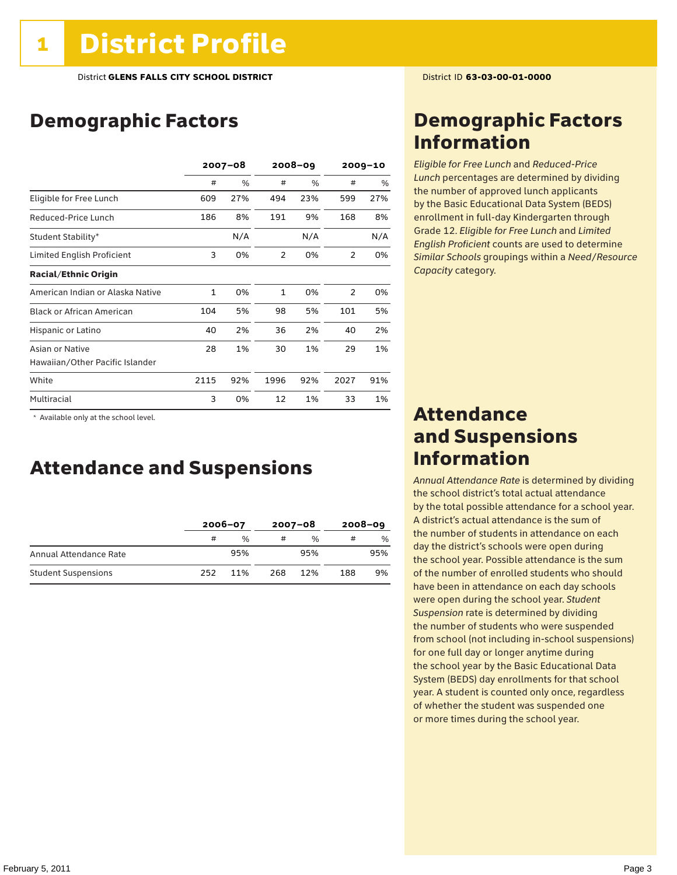# Demographic Factors

|                                  | $2007 - 08$ |     | $2008 - 09$  |      | $2009 - 10$ |      |
|----------------------------------|-------------|-----|--------------|------|-------------|------|
|                                  | #           | %   | #            | $\%$ | #           | $\%$ |
| Eligible for Free Lunch          | 609         | 27% | 494          | 23%  | 599         | 27%  |
| Reduced-Price Lunch              | 186         | 8%  | 191          | 9%   | 168         | 8%   |
| Student Stability*               |             | N/A |              | N/A  |             | N/A  |
| Limited English Proficient       | 3           | 0%  | 2            | 0%   | 2           | 0%   |
| <b>Racial/Ethnic Origin</b>      |             |     |              |      |             |      |
| American Indian or Alaska Native | 1           | 0%  | $\mathbf{1}$ | 0%   | 2           | 0%   |
| <b>Black or African American</b> | 104         | 5%  | 98           | 5%   | 101         | 5%   |
| Hispanic or Latino               | 40          | 2%  | 36           | 2%   | 40          | 2%   |
| Asian or Native                  | 28          | 1%  | 30           | 1%   | 29          | 1%   |
| Hawaiian/Other Pacific Islander  |             |     |              |      |             |      |
| White                            | 2115        | 92% | 1996         | 92%  | 2027        | 91%  |
| Multiracial                      | 3           | 0%  | 12           | 1%   | 33          | 1%   |

 \* Available only at the school level.

## Attendance and Suspensions

|                            |     | $2006 - 07$   |     | $2007 - 08$ | $2008 - 09$ |               |
|----------------------------|-----|---------------|-----|-------------|-------------|---------------|
|                            | #   | $\frac{0}{0}$ |     | $\%$        | #           | $\frac{0}{0}$ |
| Annual Attendance Rate     |     | 95%           |     | 95%         |             | 95%           |
| <b>Student Suspensions</b> | 252 | 11%           | 268 | 12%         | 188         | 9%            |

# Demographic Factors Information

*Eligible for Free Lunch* and *Reduced*-*Price Lunch* percentages are determined by dividing the number of approved lunch applicants by the Basic Educational Data System (BEDS) enrollment in full-day Kindergarten through Grade 12. *Eligible for Free Lunch* and *Limited English Proficient* counts are used to determine *Similar Schools* groupings within a *Need*/*Resource Capacity* category.

## Attendance and Suspensions Information

*Annual Attendance Rate* is determined by dividing the school district's total actual attendance by the total possible attendance for a school year. A district's actual attendance is the sum of the number of students in attendance on each day the district's schools were open during the school year. Possible attendance is the sum of the number of enrolled students who should have been in attendance on each day schools were open during the school year. *Student Suspension* rate is determined by dividing the number of students who were suspended from school (not including in-school suspensions) for one full day or longer anytime during the school year by the Basic Educational Data System (BEDS) day enrollments for that school year. A student is counted only once, regardless of whether the student was suspended one or more times during the school year.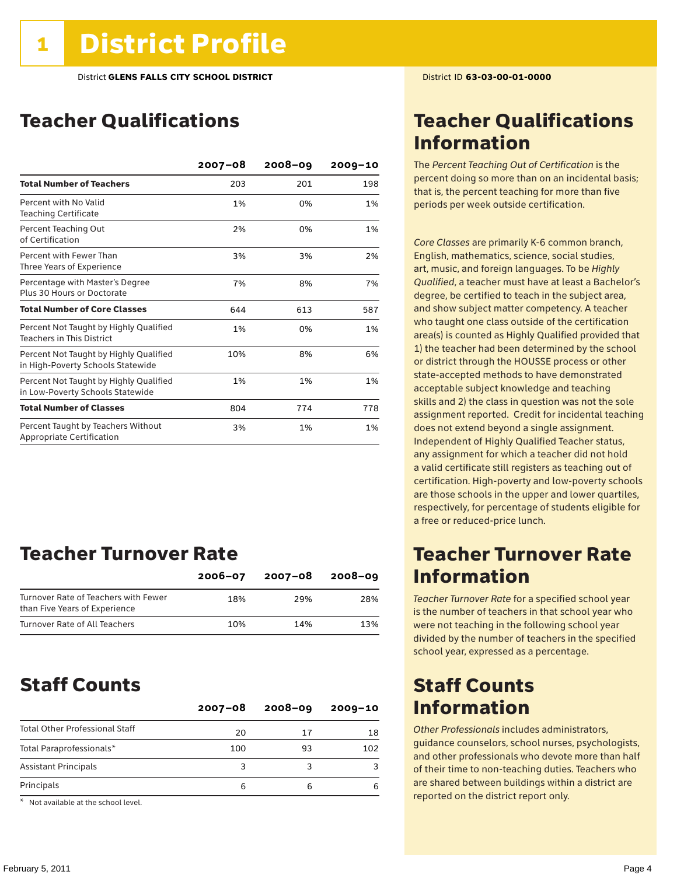# Teacher Qualifications

|                                                                             | $2007 - 08$ | $2008 - 09$ | $2009 - 10$ |
|-----------------------------------------------------------------------------|-------------|-------------|-------------|
| <b>Total Number of Teachers</b>                                             | 203         | 201         | 198         |
| Percent with No Valid<br><b>Teaching Certificate</b>                        | 1%          | 0%          | 1%          |
| Percent Teaching Out<br>of Certification                                    | 2%          | 0%          | 1%          |
| Percent with Fewer Than<br>Three Years of Experience                        | 3%          | 3%          | 2%          |
| Percentage with Master's Degree<br>Plus 30 Hours or Doctorate               | 7%          | 8%          | 7%          |
| <b>Total Number of Core Classes</b>                                         | 644         | 613         | 587         |
| Percent Not Taught by Highly Qualified<br><b>Teachers in This District</b>  | 1%          | 0%          | 1%          |
| Percent Not Taught by Highly Qualified<br>in High-Poverty Schools Statewide | 10%         | 8%          | 6%          |
| Percent Not Taught by Highly Qualified<br>in Low-Poverty Schools Statewide  | 1%          | 1%          | 1%          |
| <b>Total Number of Classes</b>                                              | 804         | 774         | 778         |
| Percent Taught by Teachers Without<br>Appropriate Certification             | 3%          | 1%          | 1%          |

# Teacher Turnover Rate

|                                                                       | $2006 - 07$ | 2007-08 | $2008 - 09$ |
|-----------------------------------------------------------------------|-------------|---------|-------------|
| Turnover Rate of Teachers with Fewer<br>than Five Years of Experience | 18%         | 29%     | 28%         |
| Turnover Rate of All Teachers                                         | 10%         | 14%     | 13%         |

## Staff Counts

|                                       | $2007 - 08$ | $2008 - 09$ | $2009 - 10$ |
|---------------------------------------|-------------|-------------|-------------|
| <b>Total Other Professional Staff</b> | 20          | 17          | 18          |
| Total Paraprofessionals*              | 100         | 93          | 102         |
| <b>Assistant Principals</b>           | 3           |             |             |
| Principals                            | 6           | 6           |             |

\* Not available at the school level.

# Teacher Qualifications Information

The *Percent Teaching Out of Certification* is the percent doing so more than on an incidental basis; that is, the percent teaching for more than five periods per week outside certification.

*Core Classes* are primarily K-6 common branch, English, mathematics, science, social studies, art, music, and foreign languages. To be *Highly Qualified*, a teacher must have at least a Bachelor's degree, be certified to teach in the subject area, and show subject matter competency. A teacher who taught one class outside of the certification area(s) is counted as Highly Qualified provided that 1) the teacher had been determined by the school or district through the HOUSSE process or other state-accepted methods to have demonstrated acceptable subject knowledge and teaching skills and 2) the class in question was not the sole assignment reported. Credit for incidental teaching does not extend beyond a single assignment. Independent of Highly Qualified Teacher status, any assignment for which a teacher did not hold a valid certificate still registers as teaching out of certification. High-poverty and low-poverty schools are those schools in the upper and lower quartiles, respectively, for percentage of students eligible for a free or reduced-price lunch.

## Teacher Turnover Rate Information

*Teacher Turnover Rate* for a specified school year is the number of teachers in that school year who were not teaching in the following school year divided by the number of teachers in the specified school year, expressed as a percentage.

# Staff Counts Information

*Other Professionals* includes administrators, guidance counselors, school nurses, psychologists, and other professionals who devote more than half of their time to non-teaching duties. Teachers who are shared between buildings within a district are reported on the district report only.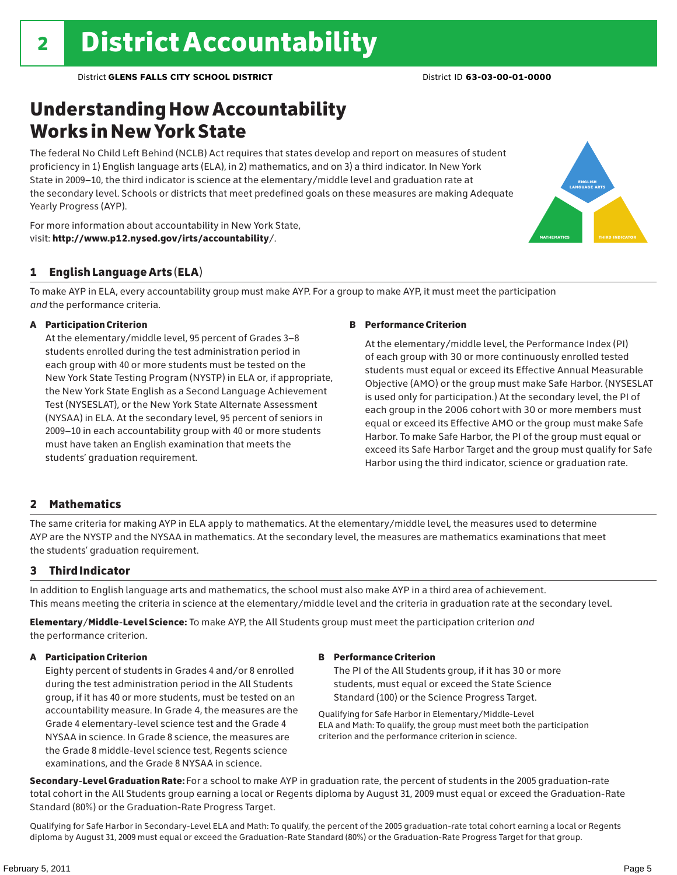# Understanding How Accountability Works in New York State

The federal No Child Left Behind (NCLB) Act requires that states develop and report on measures of student proficiency in 1) English language arts (ELA), in 2) mathematics, and on 3) a third indicator. In New York State in 2009–10, the third indicator is science at the elementary/middle level and graduation rate at the secondary level. Schools or districts that meet predefined goals on these measures are making Adequate Yearly Progress (AYP).



For more information about accountability in New York State, visit: http://www.p12.nysed.gov/irts/accountability/.

## 1 English Language Arts (ELA)

To make AYP in ELA, every accountability group must make AYP. For a group to make AYP, it must meet the participation *and* the performance criteria.

## A Participation Criterion

At the elementary/middle level, 95 percent of Grades 3–8 students enrolled during the test administration period in each group with 40 or more students must be tested on the New York State Testing Program (NYSTP) in ELA or, if appropriate, the New York State English as a Second Language Achievement Test (NYSESLAT), or the New York State Alternate Assessment (NYSAA) in ELA. At the secondary level, 95 percent of seniors in 2009–10 in each accountability group with 40 or more students must have taken an English examination that meets the students' graduation requirement.

## B Performance Criterion

At the elementary/middle level, the Performance Index (PI) of each group with 30 or more continuously enrolled tested students must equal or exceed its Effective Annual Measurable Objective (AMO) or the group must make Safe Harbor. (NYSESLAT is used only for participation.) At the secondary level, the PI of each group in the 2006 cohort with 30 or more members must equal or exceed its Effective AMO or the group must make Safe Harbor. To make Safe Harbor, the PI of the group must equal or exceed its Safe Harbor Target and the group must qualify for Safe Harbor using the third indicator, science or graduation rate.

## 2 Mathematics

The same criteria for making AYP in ELA apply to mathematics. At the elementary/middle level, the measures used to determine AYP are the NYSTP and the NYSAA in mathematics. At the secondary level, the measures are mathematics examinations that meet the students' graduation requirement.

## 3 Third Indicator

In addition to English language arts and mathematics, the school must also make AYP in a third area of achievement. This means meeting the criteria in science at the elementary/middle level and the criteria in graduation rate at the secondary level.

Elementary/Middle-Level Science: To make AYP, the All Students group must meet the participation criterion *and* the performance criterion.

## A Participation Criterion

Eighty percent of students in Grades 4 and/or 8 enrolled during the test administration period in the All Students group, if it has 40 or more students, must be tested on an accountability measure. In Grade 4, the measures are the Grade 4 elementary-level science test and the Grade 4 NYSAA in science. In Grade 8 science, the measures are the Grade 8 middle-level science test, Regents science examinations, and the Grade 8 NYSAA in science.

## B Performance Criterion

The PI of the All Students group, if it has 30 or more students, must equal or exceed the State Science Standard (100) or the Science Progress Target.

Qualifying for Safe Harbor in Elementary/Middle-Level ELA and Math: To qualify, the group must meet both the participation criterion and the performance criterion in science.

Secondary-Level Graduation Rate: For a school to make AYP in graduation rate, the percent of students in the 2005 graduation-rate total cohort in the All Students group earning a local or Regents diploma by August 31, 2009 must equal or exceed the Graduation-Rate Standard (80%) or the Graduation-Rate Progress Target.

Qualifying for Safe Harbor in Secondary-Level ELA and Math: To qualify, the percent of the 2005 graduation-rate total cohort earning a local or Regents diploma by August 31, 2009 must equal or exceed the Graduation-Rate Standard (80%) or the Graduation-Rate Progress Target for that group.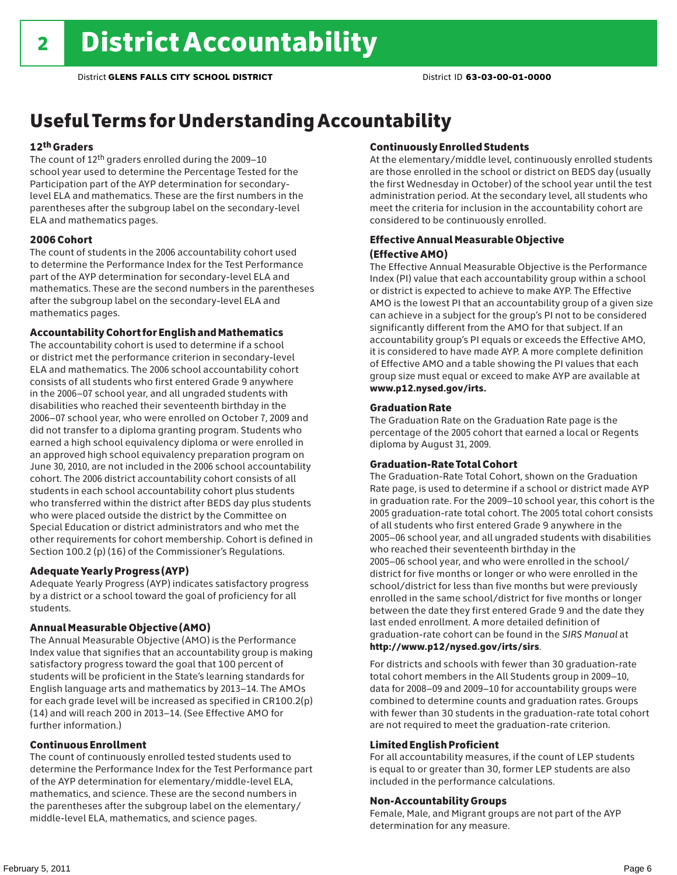# Useful Terms for Understanding Accountability

## 12th Graders

The count of 12th graders enrolled during the 2009–10 school year used to determine the Percentage Tested for the Participation part of the AYP determination for secondarylevel ELA and mathematics. These are the first numbers in the parentheses after the subgroup label on the secondary-level ELA and mathematics pages.

## 2006 Cohort

The count of students in the 2006 accountability cohort used to determine the Performance Index for the Test Performance part of the AYP determination for secondary-level ELA and mathematics. These are the second numbers in the parentheses after the subgroup label on the secondary-level ELA and mathematics pages.

## Accountability Cohort for English and Mathematics

The accountability cohort is used to determine if a school or district met the performance criterion in secondary-level ELA and mathematics. The 2006 school accountability cohort consists of all students who first entered Grade 9 anywhere in the 2006–07 school year, and all ungraded students with disabilities who reached their seventeenth birthday in the 2006–07 school year, who were enrolled on October 7, 2009 and did not transfer to a diploma granting program. Students who earned a high school equivalency diploma or were enrolled in an approved high school equivalency preparation program on June 30, 2010, are not included in the 2006 school accountability cohort. The 2006 district accountability cohort consists of all students in each school accountability cohort plus students who transferred within the district after BEDS day plus students who were placed outside the district by the Committee on Special Education or district administrators and who met the other requirements for cohort membership. Cohort is defined in Section 100.2 (p) (16) of the Commissioner's Regulations.

## Adequate Yearly Progress (AYP)

Adequate Yearly Progress (AYP) indicates satisfactory progress by a district or a school toward the goal of proficiency for all students.

## Annual Measurable Objective (AMO)

The Annual Measurable Objective (AMO) is the Performance Index value that signifies that an accountability group is making satisfactory progress toward the goal that 100 percent of students will be proficient in the State's learning standards for English language arts and mathematics by 2013–14. The AMOs for each grade level will be increased as specified in CR100.2(p) (14) and will reach 200 in 2013–14. (See Effective AMO for further information.)

## Continuous Enrollment

The count of continuously enrolled tested students used to determine the Performance Index for the Test Performance part of the AYP determination for elementary/middle-level ELA, mathematics, and science. These are the second numbers in the parentheses after the subgroup label on the elementary/ middle-level ELA, mathematics, and science pages.

## Continuously Enrolled Students

At the elementary/middle level, continuously enrolled students are those enrolled in the school or district on BEDS day (usually the first Wednesday in October) of the school year until the test administration period. At the secondary level, all students who meet the criteria for inclusion in the accountability cohort are considered to be continuously enrolled.

## Effective Annual Measurable Objective (Effective AMO)

The Effective Annual Measurable Objective is the Performance Index (PI) value that each accountability group within a school or district is expected to achieve to make AYP. The Effective AMO is the lowest PI that an accountability group of a given size can achieve in a subject for the group's PI not to be considered significantly different from the AMO for that subject. If an accountability group's PI equals or exceeds the Effective AMO, it is considered to have made AYP. A more complete definition of Effective AMO and a table showing the PI values that each group size must equal or exceed to make AYP are available at www.p12.nysed.gov/irts.

## Graduation Rate

The Graduation Rate on the Graduation Rate page is the percentage of the 2005 cohort that earned a local or Regents diploma by August 31, 2009.

## Graduation-Rate Total Cohort

The Graduation-Rate Total Cohort, shown on the Graduation Rate page, is used to determine if a school or district made AYP in graduation rate. For the 2009–10 school year, this cohort is the 2005 graduation-rate total cohort. The 2005 total cohort consists of all students who first entered Grade 9 anywhere in the 2005–06 school year, and all ungraded students with disabilities who reached their seventeenth birthday in the 2005–06 school year, and who were enrolled in the school/ district for five months or longer or who were enrolled in the school/district for less than five months but were previously enrolled in the same school/district for five months or longer between the date they first entered Grade 9 and the date they last ended enrollment. A more detailed definition of graduation-rate cohort can be found in the *SIRS Manual* at http://www.p12/nysed.gov/irts/sirs.

For districts and schools with fewer than 30 graduation-rate total cohort members in the All Students group in 2009–10, data for 2008–09 and 2009–10 for accountability groups were combined to determine counts and graduation rates. Groups with fewer than 30 students in the graduation-rate total cohort are not required to meet the graduation-rate criterion.

## Limited English Proficient

For all accountability measures, if the count of LEP students is equal to or greater than 30, former LEP students are also included in the performance calculations.

## Non-Accountability Groups

Female, Male, and Migrant groups are not part of the AYP determination for any measure.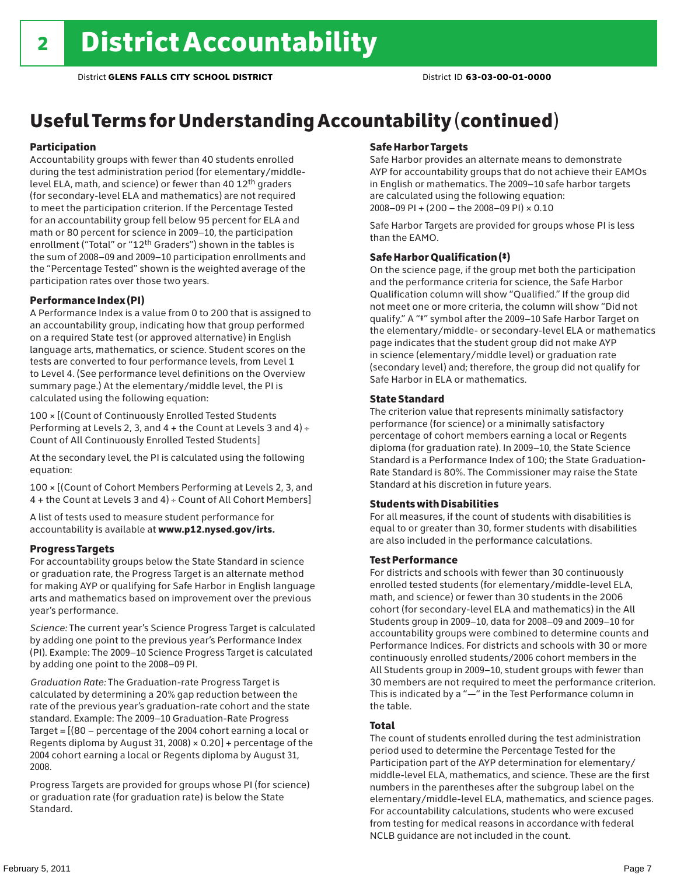# Useful Terms for Understanding Accountability (continued)

## Participation

Accountability groups with fewer than 40 students enrolled during the test administration period (for elementary/middlelevel ELA, math, and science) or fewer than 40 12th graders (for secondary-level ELA and mathematics) are not required to meet the participation criterion. If the Percentage Tested for an accountability group fell below 95 percent for ELA and math or 80 percent for science in 2009–10, the participation enrollment ("Total" or "12th Graders") shown in the tables is the sum of 2008–09 and 2009–10 participation enrollments and the "Percentage Tested" shown is the weighted average of the participation rates over those two years.

## Performance Index (PI)

A Performance Index is a value from 0 to 200 that is assigned to an accountability group, indicating how that group performed on a required State test (or approved alternative) in English language arts, mathematics, or science. Student scores on the tests are converted to four performance levels, from Level 1 to Level 4. (See performance level definitions on the Overview summary page.) At the elementary/middle level, the PI is calculated using the following equation:

100 × [(Count of Continuously Enrolled Tested Students Performing at Levels 2, 3, and 4 + the Count at Levels 3 and 4) Count of All Continuously Enrolled Tested Students]

At the secondary level, the PI is calculated using the following equation:

100 × [(Count of Cohort Members Performing at Levels 2, 3, and 4 + the Count at Levels 3 and 4) Count of All Cohort Members]

A list of tests used to measure student performance for accountability is available at www.p12.nysed.gov/irts.

## Progress Targets

For accountability groups below the State Standard in science or graduation rate, the Progress Target is an alternate method for making AYP or qualifying for Safe Harbor in English language arts and mathematics based on improvement over the previous year's performance.

*Science:* The current year's Science Progress Target is calculated by adding one point to the previous year's Performance Index (PI). Example: The 2009–10 Science Progress Target is calculated by adding one point to the 2008–09 PI.

*Graduation Rate:* The Graduation-rate Progress Target is calculated by determining a 20% gap reduction between the rate of the previous year's graduation-rate cohort and the state standard. Example: The 2009–10 Graduation-Rate Progress Target = [(80 – percentage of the 2004 cohort earning a local or Regents diploma by August 31, 2008)  $\times$  0.20] + percentage of the 2004 cohort earning a local or Regents diploma by August 31, 2008.

Progress Targets are provided for groups whose PI (for science) or graduation rate (for graduation rate) is below the State Standard.

## Safe Harbor Targets

Safe Harbor provides an alternate means to demonstrate AYP for accountability groups that do not achieve their EAMOs in English or mathematics. The 2009–10 safe harbor targets are calculated using the following equation: 2008–09 PI + (200 – the 2008–09 PI) × 0.10

Safe Harbor Targets are provided for groups whose PI is less than the EAMO.

## Safe Harbor Qualification (‡)

On the science page, if the group met both the participation and the performance criteria for science, the Safe Harbor Qualification column will show "Qualified." If the group did not meet one or more criteria, the column will show "Did not qualify." A "‡" symbol after the 2009–10 Safe Harbor Target on the elementary/middle- or secondary-level ELA or mathematics page indicates that the student group did not make AYP in science (elementary/middle level) or graduation rate (secondary level) and; therefore, the group did not qualify for Safe Harbor in ELA or mathematics.

## State Standard

The criterion value that represents minimally satisfactory performance (for science) or a minimally satisfactory percentage of cohort members earning a local or Regents diploma (for graduation rate). In 2009–10, the State Science Standard is a Performance Index of 100; the State Graduation-Rate Standard is 80%. The Commissioner may raise the State Standard at his discretion in future years.

## Students with Disabilities

For all measures, if the count of students with disabilities is equal to or greater than 30, former students with disabilities are also included in the performance calculations.

## Test Performance

For districts and schools with fewer than 30 continuously enrolled tested students (for elementary/middle-level ELA, math, and science) or fewer than 30 students in the 2006 cohort (for secondary-level ELA and mathematics) in the All Students group in 2009–10, data for 2008–09 and 2009–10 for accountability groups were combined to determine counts and Performance Indices. For districts and schools with 30 or more continuously enrolled students/2006 cohort members in the All Students group in 2009–10, student groups with fewer than 30 members are not required to meet the performance criterion. This is indicated by a "—" in the Test Performance column in the table.

## Total

The count of students enrolled during the test administration period used to determine the Percentage Tested for the Participation part of the AYP determination for elementary/ middle-level ELA, mathematics, and science. These are the first numbers in the parentheses after the subgroup label on the elementary/middle-level ELA, mathematics, and science pages. For accountability calculations, students who were excused from testing for medical reasons in accordance with federal NCLB guidance are not included in the count.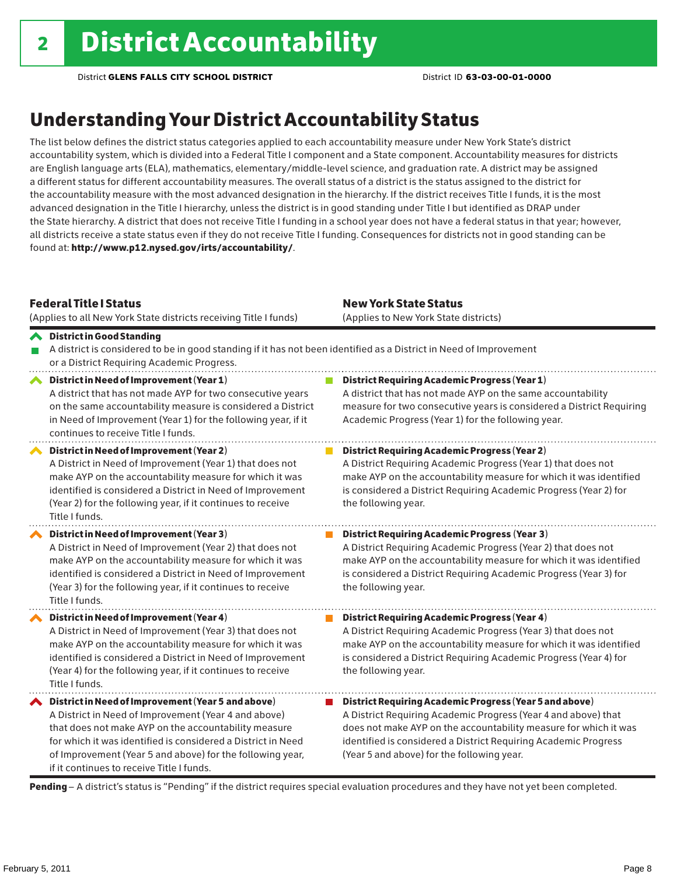# Understanding Your District Accountability Status

The list below defines the district status categories applied to each accountability measure under New York State's district accountability system, which is divided into a Federal Title I component and a State component. Accountability measures for districts are English language arts (ELA), mathematics, elementary/middle-level science, and graduation rate. A district may be assigned a different status for different accountability measures. The overall status of a district is the status assigned to the district for the accountability measure with the most advanced designation in the hierarchy. If the district receives Title I funds, it is the most advanced designation in the Title I hierarchy, unless the district is in good standing under Title I but identified as DRAP under the State hierarchy. A district that does not receive Title I funding in a school year does not have a federal status in that year; however, all districts receive a state status even if they do not receive Title I funding. Consequences for districts not in good standing can be found at: http://www.p12.nysed.gov/irts/accountability/.

|   | <b>Federal Title I Status</b><br>(Applies to all New York State districts receiving Title I funds)                                                                                                                                                                                                                                             | <b>New York State Status</b><br>(Applies to New York State districts)                                                                                                                                                                                                                                          |
|---|------------------------------------------------------------------------------------------------------------------------------------------------------------------------------------------------------------------------------------------------------------------------------------------------------------------------------------------------|----------------------------------------------------------------------------------------------------------------------------------------------------------------------------------------------------------------------------------------------------------------------------------------------------------------|
|   | <b>◆</b> District in Good Standing<br>A district is considered to be in good standing if it has not been identified as a District in Need of Improvement<br>or a District Requiring Academic Progress.                                                                                                                                         |                                                                                                                                                                                                                                                                                                                |
| ∧ | District in Need of Improvement (Year 1)<br>A district that has not made AYP for two consecutive years<br>on the same accountability measure is considered a District<br>in Need of Improvement (Year 1) for the following year, if it<br>continues to receive Title I funds.                                                                  | <b>District Requiring Academic Progress (Year 1)</b><br>A district that has not made AYP on the same accountability<br>measure for two consecutive years is considered a District Requiring<br>Academic Progress (Year 1) for the following year.                                                              |
|   | District in Need of Improvement (Year 2)<br>A District in Need of Improvement (Year 1) that does not<br>make AYP on the accountability measure for which it was<br>identified is considered a District in Need of Improvement<br>(Year 2) for the following year, if it continues to receive<br>Title I funds.                                 | <b>District Requiring Academic Progress (Year 2)</b><br>A District Requiring Academic Progress (Year 1) that does not<br>make AYP on the accountability measure for which it was identified<br>is considered a District Requiring Academic Progress (Year 2) for<br>the following year.                        |
|   | District in Need of Improvement (Year 3)<br>A District in Need of Improvement (Year 2) that does not<br>make AYP on the accountability measure for which it was<br>identified is considered a District in Need of Improvement<br>(Year 3) for the following year, if it continues to receive<br>Title I funds.                                 | <b>District Requiring Academic Progress (Year 3)</b><br>A District Requiring Academic Progress (Year 2) that does not<br>make AYP on the accountability measure for which it was identified<br>is considered a District Requiring Academic Progress (Year 3) for<br>the following year.                        |
|   | District in Need of Improvement (Year 4)<br>A District in Need of Improvement (Year 3) that does not<br>make AYP on the accountability measure for which it was<br>identified is considered a District in Need of Improvement<br>(Year 4) for the following year, if it continues to receive<br>Title I funds.                                 | <b>District Requiring Academic Progress (Year 4)</b><br>A District Requiring Academic Progress (Year 3) that does not<br>make AYP on the accountability measure for which it was identified<br>is considered a District Requiring Academic Progress (Year 4) for<br>the following year.                        |
|   | ◆ District in Need of Improvement (Year 5 and above)<br>A District in Need of Improvement (Year 4 and above)<br>that does not make AYP on the accountability measure<br>for which it was identified is considered a District in Need<br>of Improvement (Year 5 and above) for the following year,<br>if it continues to receive Title I funds. | District Requiring Academic Progress (Year 5 and above)<br>A District Requiring Academic Progress (Year 4 and above) that<br>does not make AYP on the accountability measure for which it was<br>identified is considered a District Requiring Academic Progress<br>(Year 5 and above) for the following year. |

Pending - A district's status is "Pending" if the district requires special evaluation procedures and they have not yet been completed.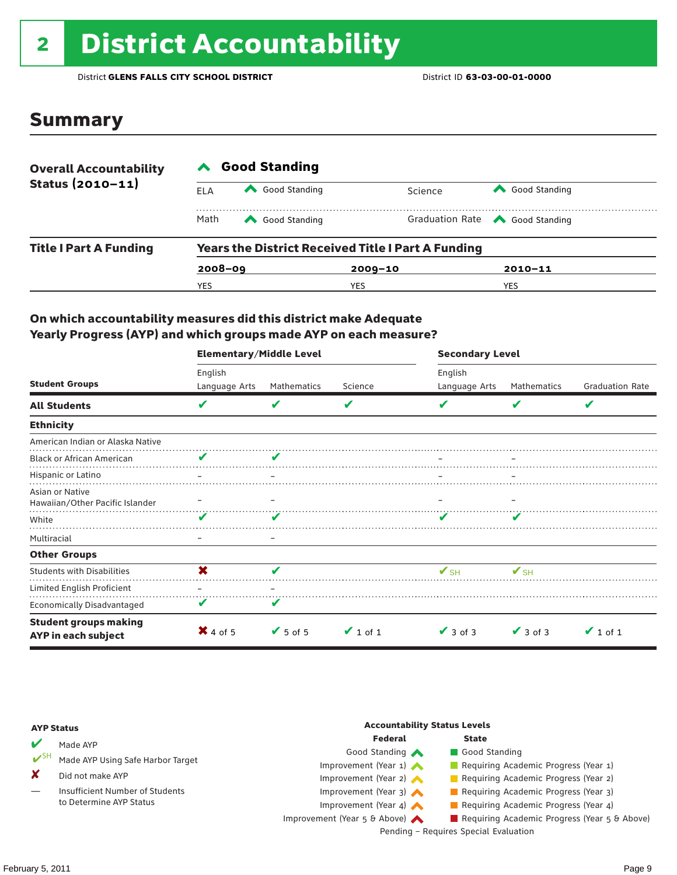# 2 District Accountability

District **GLENS FALLS CITY SCHOOL DISTRICT** District ID **63-03-00-01-0000**

## Summary

| <b>Overall Accountability</b> | <b>Good Standing</b>                                      |               |             |                                       |  |  |  |
|-------------------------------|-----------------------------------------------------------|---------------|-------------|---------------------------------------|--|--|--|
| Status $(2010 - 11)$          | ELA                                                       | Good Standing | Science     | Good Standing                         |  |  |  |
|                               | Math                                                      | Good Standing |             | Graduation Rate <a> Good Standing</a> |  |  |  |
| <b>Title I Part A Funding</b> | <b>Years the District Received Title I Part A Funding</b> |               |             |                                       |  |  |  |
|                               | $2008 - 09$                                               |               | $2009 - 10$ | $2010 - 11$                           |  |  |  |
|                               | YES                                                       |               | YES         | YES                                   |  |  |  |

## On which accountability measures did this district make Adequate Yearly Progress (AYP) and which groups made AYP on each measure?

|                                                     | <b>Elementary/Middle Level</b> |                              |               | <b>Secondary Level</b>   |               |                        |  |
|-----------------------------------------------------|--------------------------------|------------------------------|---------------|--------------------------|---------------|------------------------|--|
|                                                     | English                        |                              |               | English                  |               |                        |  |
| <b>Student Groups</b>                               | Language Arts                  | Mathematics                  | Science       | Language Arts            | Mathematics   | <b>Graduation Rate</b> |  |
| <b>All Students</b>                                 | V                              | V                            | V             | V                        | V             | V                      |  |
| <b>Ethnicity</b>                                    |                                |                              |               |                          |               |                        |  |
| American Indian or Alaska Native                    |                                |                              |               |                          |               |                        |  |
| <b>Black or African American</b>                    | ✔                              |                              |               |                          |               |                        |  |
| Hispanic or Latino                                  |                                | $\overline{\phantom{m}}$     |               |                          |               |                        |  |
| Asian or Native<br>Hawaiian/Other Pacific Islander  |                                |                              |               |                          |               |                        |  |
| White                                               | v                              | v                            |               | v                        |               |                        |  |
| Multiracial                                         |                                | -                            |               |                          |               |                        |  |
| <b>Other Groups</b>                                 |                                |                              |               |                          |               |                        |  |
| <b>Students with Disabilities</b>                   | X                              | V                            |               | $\mathbf{V}_{\text{SH}}$ | $V$ SH        |                        |  |
| Limited English Proficient                          |                                |                              |               |                          |               |                        |  |
| <b>Economically Disadvantaged</b>                   | V                              | V                            |               |                          |               |                        |  |
| <b>Student groups making</b><br>AYP in each subject | $\mathsf{X}$ 4 of 5            | $\blacktriangleright$ 5 of 5 | $\vee$ 1 of 1 | $\vee$ 3 of 3            | $\vee$ 3 of 3 | $\vee$ 1 of 1          |  |

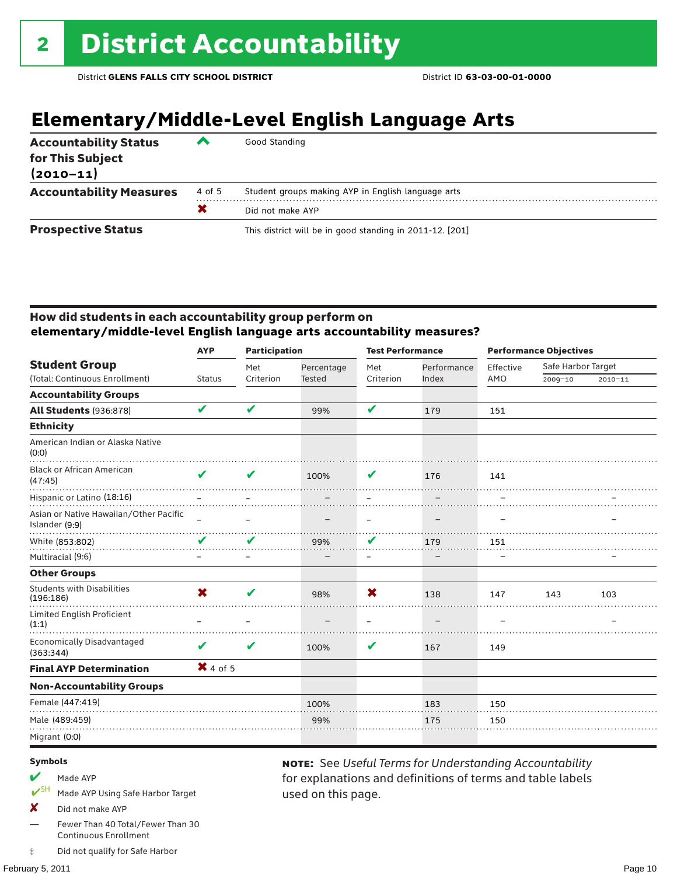# **Elementary/Middle-Level English Language Arts**

| <b>Accountability Status</b><br>for This Subject<br>$(2010 - 11)$ | $\overline{\phantom{a}}$ | Good Standing                                            |
|-------------------------------------------------------------------|--------------------------|----------------------------------------------------------|
| <b>Accountability Measures</b>                                    | 4 of 5                   | Student groups making AYP in English language arts       |
|                                                                   | X                        | Did not make AYP                                         |
| <b>Prospective Status</b>                                         |                          | This district will be in good standing in 2011-12. [201] |

## How did students in each accountability group perform on **elementary/middle-level English language arts accountability measures?**

|                                                          | <b>Participation</b><br><b>AYP</b> |           |               | <b>Test Performance</b>  |             | <b>Performance Objectives</b> |                    |         |
|----------------------------------------------------------|------------------------------------|-----------|---------------|--------------------------|-------------|-------------------------------|--------------------|---------|
| <b>Student Group</b>                                     |                                    | Met       | Percentage    | Met                      | Performance | Effective                     | Safe Harbor Target |         |
| (Total: Continuous Enrollment)                           | <b>Status</b>                      | Criterion | <b>Tested</b> | Criterion                | Index       | AMO                           | 2009-10            | 2010-11 |
| <b>Accountability Groups</b>                             |                                    |           |               |                          |             |                               |                    |         |
| All Students (936:878)                                   | V                                  | V         | 99%           | V                        | 179         | 151                           |                    |         |
| <b>Ethnicity</b>                                         |                                    |           |               |                          |             |                               |                    |         |
| American Indian or Alaska Native<br>(0:0)                |                                    |           |               |                          |             |                               |                    |         |
| <b>Black or African American</b><br>(47:45)              | ✔                                  | V         | 100%          | V                        | 176         | 141                           |                    |         |
| Hispanic or Latino (18:16)                               |                                    |           |               |                          |             |                               |                    |         |
| Asian or Native Hawaiian/Other Pacific<br>Islander (9:9) |                                    |           |               | $\qquad \qquad -$        |             |                               |                    |         |
| White (853:802)                                          | V                                  | V         | 99%           | V                        | 179         | 151                           |                    |         |
| Multiracial (9:6)                                        |                                    |           |               |                          |             |                               |                    |         |
| <b>Other Groups</b>                                      |                                    |           |               |                          |             |                               |                    |         |
| <b>Students with Disabilities</b><br>(196:186)           | X                                  | ✔         | 98%           | X                        | 138         | 147                           | 143                | 103     |
| <b>Limited English Proficient</b><br>(1:1)               |                                    |           |               | $\overline{\phantom{0}}$ |             |                               |                    |         |
| <b>Economically Disadvantaged</b><br>(363:344)           | V                                  | V         | 100%          | V                        | 167         | 149                           |                    |         |
| <b>Final AYP Determination</b>                           | $\mathsf{X}$ 4 of 5                |           |               |                          |             |                               |                    |         |
| <b>Non-Accountability Groups</b>                         |                                    |           |               |                          |             |                               |                    |         |
| Female (447:419)                                         |                                    |           | 100%          |                          | 183         | 150                           |                    |         |
| Male (489:459)                                           |                                    |           | 99%           |                          | 175         | 150                           |                    |         |
| Migrant (0:0)                                            |                                    |           |               |                          |             |                               |                    |         |
|                                                          |                                    |           |               |                          |             |                               |                    |         |

used on this page.

note: See *Useful Terms for Understanding Accountability*  for explanations and definitions of terms and table labels

#### Symbols

- Made AYP
- Made AYP Using Safe Harbor Target
- X Did not make AYP
- Fewer Than 40 Total/Fewer Than 30 Continuous Enrollment
- ‡ Did not qualify for Safe Harbor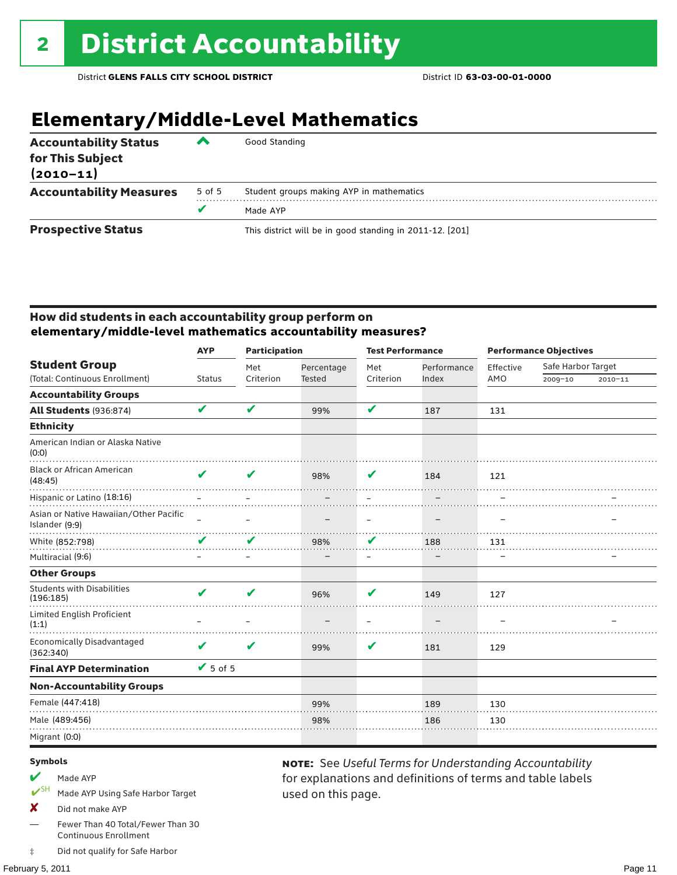# **Elementary/Middle-Level Mathematics**

| <b>Accountability Status</b><br>for This Subject<br>$(2010 - 11)$ | ▰      | Good Standing                                            |
|-------------------------------------------------------------------|--------|----------------------------------------------------------|
| <b>Accountability Measures</b>                                    | 5 of 5 | Student groups making AYP in mathematics                 |
|                                                                   | v      | Made AYP                                                 |
| <b>Prospective Status</b>                                         |        | This district will be in good standing in 2011-12. [201] |

## How did students in each accountability group perform on **elementary/middle-level mathematics accountability measures?**

|                                                          | <b>AYP</b>      | <b>Participation</b> |               | <b>Test Performance</b> |             | <b>Performance Objectives</b> |                    |         |
|----------------------------------------------------------|-----------------|----------------------|---------------|-------------------------|-------------|-------------------------------|--------------------|---------|
| <b>Student Group</b>                                     |                 | Met                  | Percentage    | Met                     | Performance | Effective                     | Safe Harbor Target |         |
| (Total: Continuous Enrollment)                           | <b>Status</b>   | Criterion            | <b>Tested</b> | Criterion               | Index       | AMO                           | 2009-10            | 2010-11 |
| <b>Accountability Groups</b>                             |                 |                      |               |                         |             |                               |                    |         |
| <b>All Students (936:874)</b>                            | V               | V                    | 99%           | V                       | 187         | 131                           |                    |         |
| <b>Ethnicity</b>                                         |                 |                      |               |                         |             |                               |                    |         |
| American Indian or Alaska Native<br>(0:0)                |                 |                      |               |                         |             |                               |                    |         |
| <b>Black or African American</b><br>(48:45)              | ✔               | V                    | 98%           | V                       | 184         | 121                           |                    |         |
| Hispanic or Latino (18:16)                               |                 |                      |               |                         |             |                               |                    |         |
| Asian or Native Hawaiian/Other Pacific<br>Islander (9:9) |                 |                      |               | $\qquad \qquad -$       |             |                               |                    |         |
| White (852:798)                                          | ✔               | V                    | 98%           | V                       | 188         | 131                           |                    |         |
| Multiracial (9:6)                                        |                 |                      |               |                         |             |                               |                    |         |
| <b>Other Groups</b>                                      |                 |                      |               |                         |             |                               |                    |         |
| <b>Students with Disabilities</b><br>(196:185)           | ✔               | V                    | 96%           | V                       | 149         | 127                           |                    |         |
| Limited English Proficient<br>(1:1)                      |                 |                      |               |                         |             |                               |                    |         |
| <b>Economically Disadvantaged</b><br>(362:340)           | V               | V                    | 99%           | V                       | 181         | 129                           |                    |         |
| <b>Final AYP Determination</b>                           | $\sqrt{5}$ of 5 |                      |               |                         |             |                               |                    |         |
| <b>Non-Accountability Groups</b>                         |                 |                      |               |                         |             |                               |                    |         |
| Female (447:418)                                         |                 |                      | 99%           |                         | 189         | 130                           |                    |         |
| Male (489:456)                                           |                 |                      | 98%           |                         | 186         | 130                           |                    |         |
| Migrant (0:0)                                            |                 |                      |               |                         |             |                               |                    |         |
|                                                          |                 |                      |               |                         |             |                               |                    |         |

used on this page.

note: See *Useful Terms for Understanding Accountability*  for explanations and definitions of terms and table labels

#### Symbols

- Made AYP
- Made AYP Using Safe Harbor Target
- X Did not make AYP
- Fewer Than 40 Total/Fewer Than 30 Continuous Enrollment
- ‡ Did not qualify for Safe Harbor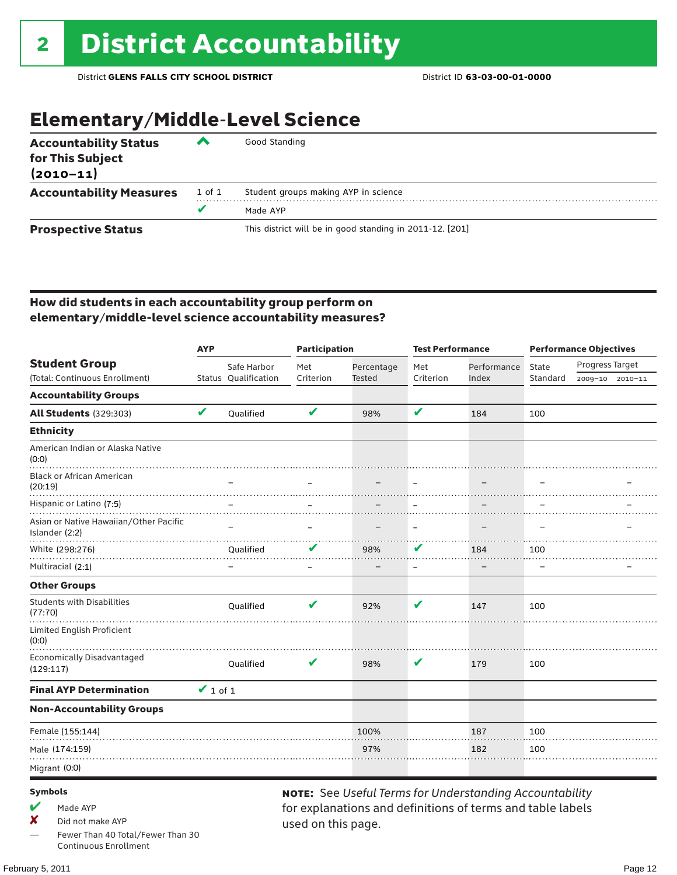# Elementary/Middle-Level Science

| <b>Accountability Status</b><br>for This Subject<br>$(2010 - 11)$ | ▰      | Good Standing                                            |
|-------------------------------------------------------------------|--------|----------------------------------------------------------|
| <b>Accountability Measures</b>                                    | 1 of 1 | Student groups making AYP in science                     |
|                                                                   |        | Made AYP                                                 |
| <b>Prospective Status</b>                                         |        | This district will be in good standing in 2011-12. [201] |

## How did students in each accountability group perform on elementary/middle-level science accountability measures?

|                                                          | <b>AYP</b>    |                      | <b>Participation</b> |               | <b>Test Performance</b>  |             | <b>Performance Objectives</b> |                 |  |
|----------------------------------------------------------|---------------|----------------------|----------------------|---------------|--------------------------|-------------|-------------------------------|-----------------|--|
| <b>Student Group</b>                                     |               | Safe Harbor          | Met                  | Percentage    | Met                      | Performance | State                         | Progress Target |  |
| (Total: Continuous Enrollment)                           |               | Status Oualification | Criterion            | <b>Tested</b> | Criterion                | Index       | Standard                      | 2009-10 2010-11 |  |
| <b>Accountability Groups</b>                             |               |                      |                      |               |                          |             |                               |                 |  |
| <b>All Students (329:303)</b>                            | V             | Qualified            | V                    | 98%           | V                        | 184         | 100                           |                 |  |
| <b>Ethnicity</b>                                         |               |                      |                      |               |                          |             |                               |                 |  |
| American Indian or Alaska Native<br>(0:0)                |               |                      |                      |               |                          |             |                               |                 |  |
| <b>Black or African American</b><br>(20:19)              |               |                      |                      |               |                          |             |                               |                 |  |
| Hispanic or Latino (7:5)                                 |               |                      |                      |               |                          |             |                               |                 |  |
| Asian or Native Hawaiian/Other Pacific<br>Islander (2:2) |               |                      |                      |               |                          |             |                               |                 |  |
| White (298:276)                                          |               | Qualified            | v                    | 98%           | V                        | 184         | 100                           |                 |  |
| Multiracial (2:1)                                        |               |                      |                      |               | $\overline{\phantom{0}}$ |             |                               |                 |  |
| <b>Other Groups</b>                                      |               |                      |                      |               |                          |             |                               |                 |  |
| <b>Students with Disabilities</b><br>(77:70)             |               | Qualified            | V                    | 92%           | V                        | 147         | 100                           |                 |  |
| <b>Limited English Proficient</b><br>(0:0)               |               |                      |                      |               |                          |             |                               |                 |  |
| <b>Economically Disadvantaged</b><br>(129:117)           |               | Qualified            | V                    | 98%           | V                        | 179         | 100                           |                 |  |
| <b>Final AYP Determination</b>                           | $\vee$ 1 of 1 |                      |                      |               |                          |             |                               |                 |  |
| <b>Non-Accountability Groups</b>                         |               |                      |                      |               |                          |             |                               |                 |  |
| Female (155:144)                                         |               |                      |                      | 100%          |                          | 187         | 100                           |                 |  |
| Male (174:159)                                           |               |                      |                      | 97%           |                          | 182         | 100                           |                 |  |
| Migrant (0:0)                                            |               |                      |                      |               |                          |             |                               |                 |  |

#### Symbols

- $M$  Made AYP
- ✘ Did not make AYP
- Fewer Than 40 Total/Fewer Than 30 Continuous Enrollment

note: See *Useful Terms for Understanding Accountability*  for explanations and definitions of terms and table labels used on this page.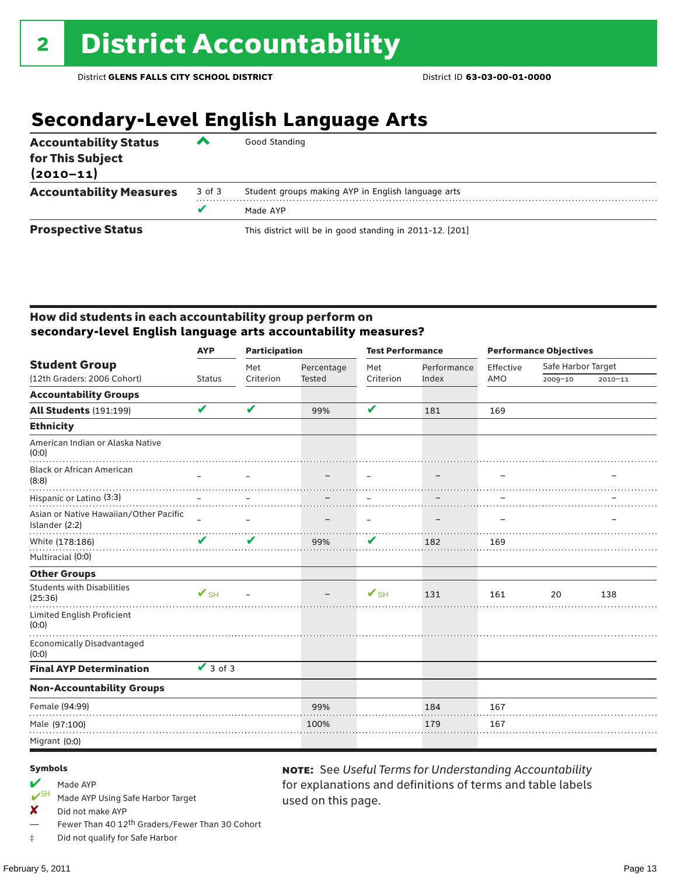# **Secondary-Level English Language Arts**

| <b>Accountability Status</b><br>for This Subject<br>$(2010 - 11)$ | ▰      | Good Standing                                            |
|-------------------------------------------------------------------|--------|----------------------------------------------------------|
| <b>Accountability Measures</b>                                    | 3 of 3 | Student groups making AYP in English language arts       |
|                                                                   |        | Made AYP                                                 |
| <b>Prospective Status</b>                                         |        | This district will be in good standing in 2011-12. [201] |

## How did students in each accountability group perform on **secondary-level English language arts accountability measures?**

|                                                          | <b>AYP</b>               | <b>Participation</b> |               | <b>Test Performance</b>  |             | <b>Performance Objectives</b> |                    |             |
|----------------------------------------------------------|--------------------------|----------------------|---------------|--------------------------|-------------|-------------------------------|--------------------|-------------|
| <b>Student Group</b>                                     |                          | Met                  | Percentage    | Met                      | Performance | Effective                     | Safe Harbor Target |             |
| (12th Graders: 2006 Cohort)                              | <b>Status</b>            | Criterion            | <b>Tested</b> | Criterion                | Index       | AMO                           | 2009-10            | $2010 - 11$ |
| <b>Accountability Groups</b>                             |                          |                      |               |                          |             |                               |                    |             |
| <b>All Students (191:199)</b>                            | V                        | V                    | 99%           | V                        | 181         | 169                           |                    |             |
| <b>Ethnicity</b>                                         |                          |                      |               |                          |             |                               |                    |             |
| American Indian or Alaska Native<br>(0:0)                |                          |                      |               |                          |             |                               |                    |             |
| <b>Black or African American</b><br>(8:8)                |                          |                      |               |                          |             |                               |                    |             |
| Hispanic or Latino (3:3)                                 |                          |                      |               |                          |             |                               |                    |             |
| Asian or Native Hawaiian/Other Pacific<br>Islander (2:2) |                          |                      |               | -                        |             |                               |                    |             |
| White (178:186)                                          | V                        | V                    | 99%           | V                        | 182         | 169                           |                    |             |
| Multiracial (0:0)                                        |                          |                      |               |                          |             |                               |                    |             |
| <b>Other Groups</b>                                      |                          |                      |               |                          |             |                               |                    |             |
| <b>Students with Disabilities</b><br>(25:36)             | $\mathbf{V}_{\text{SH}}$ |                      |               | $\mathbf{V}_{\text{SH}}$ | 131         | 161                           | 20                 | 138         |
| Limited English Proficient<br>(0:0)                      |                          |                      |               |                          |             |                               |                    |             |
| <b>Economically Disadvantaged</b><br>(0:0)               |                          |                      |               |                          |             |                               |                    |             |
| <b>Final AYP Determination</b>                           | $\vee$ 3 of 3            |                      |               |                          |             |                               |                    |             |
| <b>Non-Accountability Groups</b>                         |                          |                      |               |                          |             |                               |                    |             |
| Female (94:99)                                           |                          |                      | 99%           |                          | 184         | 167                           |                    |             |
| Male (97:100)                                            |                          |                      | 100%          |                          | 179         | 167                           |                    |             |
| Migrant (0:0)                                            |                          |                      |               |                          |             |                               |                    |             |

used on this page.

note: See *Useful Terms for Understanding Accountability*  for explanations and definitions of terms and table labels

#### Symbols

# Made AYP<br>
<del>V</del>SH Made AVP

- Made AYP Using Safe Harbor Target
- $\boldsymbol{X}$  Did not make AYP
- Fewer Than 40 12<sup>th</sup> Graders/Fewer Than 30 Cohort
- ‡ Did not qualify for Safe Harbor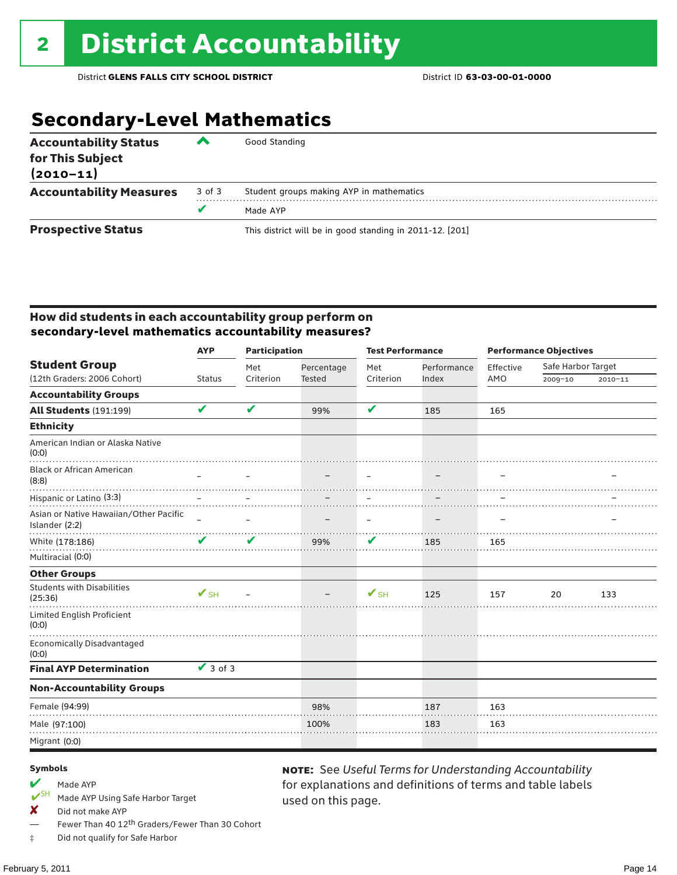# **Secondary-Level Mathematics**

| <b>Accountability Status</b><br>for This Subject<br>$(2010 - 11)$ | ‴      | Good Standing                                            |
|-------------------------------------------------------------------|--------|----------------------------------------------------------|
| <b>Accountability Measures</b>                                    | 3 of 3 | Student groups making AYP in mathematics                 |
|                                                                   |        | Made AYP                                                 |
| <b>Prospective Status</b>                                         |        | This district will be in good standing in 2011-12. [201] |

## How did students in each accountability group perform on **secondary-level mathematics accountability measures?**

|                                                          | <b>AYP</b>               | <b>Participation</b>       |            | <b>Test Performance</b>  |             | <b>Performance Objectives</b> |                    |             |
|----------------------------------------------------------|--------------------------|----------------------------|------------|--------------------------|-------------|-------------------------------|--------------------|-------------|
| <b>Student Group</b>                                     |                          | Met                        | Percentage | Met                      | Performance | Effective                     | Safe Harbor Target |             |
| (12th Graders: 2006 Cohort)                              | <b>Status</b>            | Criterion                  | Tested     | Criterion                | Index       | AMO                           | 2009-10            | $2010 - 11$ |
| <b>Accountability Groups</b>                             |                          |                            |            |                          |             |                               |                    |             |
| <b>All Students (191:199)</b>                            | V                        | V                          | 99%        | V                        | 185         | 165                           |                    |             |
| <b>Ethnicity</b>                                         |                          |                            |            |                          |             |                               |                    |             |
| American Indian or Alaska Native<br>(0:0)                |                          |                            |            |                          |             |                               |                    |             |
| <b>Black or African American</b><br>(8:8)                |                          |                            |            |                          |             |                               |                    |             |
| Hispanic or Latino (3:3)                                 |                          |                            |            |                          |             |                               |                    |             |
| Asian or Native Hawaiian/Other Pacific<br>Islander (2:2) |                          |                            |            | $\overline{\phantom{m}}$ |             |                               |                    |             |
| White (178:186)                                          | ✔                        | $\boldsymbol{\mathcal{U}}$ | 99%        | V                        | 185         | 165                           |                    |             |
| Multiracial (0:0)                                        |                          |                            |            |                          |             |                               |                    |             |
| <b>Other Groups</b>                                      |                          |                            |            |                          |             |                               |                    |             |
| <b>Students with Disabilities</b><br>(25:36)             | $\mathbf{V}_{\text{SH}}$ |                            |            | $\mathbf{V}_{\text{SH}}$ | 125         | 157                           | 20                 | 133         |
| Limited English Proficient<br>(0:0)                      |                          |                            |            |                          |             |                               |                    |             |
| <b>Economically Disadvantaged</b><br>(0:0)               |                          |                            |            |                          |             |                               |                    |             |
| <b>Final AYP Determination</b>                           | $\vee$ 3 of 3            |                            |            |                          |             |                               |                    |             |
| <b>Non-Accountability Groups</b>                         |                          |                            |            |                          |             |                               |                    |             |
| Female (94:99)                                           |                          |                            | 98%        |                          | 187         | 163                           |                    |             |
| Male (97:100)                                            |                          |                            | 100%       |                          | 183         | 163                           |                    |             |
| Migrant (0:0)                                            |                          |                            |            |                          |             |                               |                    |             |

used on this page.

note: See *Useful Terms for Understanding Accountability*  for explanations and definitions of terms and table labels

#### Symbols

Made AYP<br>
<del>V</del>SH Made AVP

Made AYP Using Safe Harbor Target

 $\boldsymbol{X}$  Did not make AYP

Fewer Than 40 12<sup>th</sup> Graders/Fewer Than 30 Cohort

‡ Did not qualify for Safe Harbor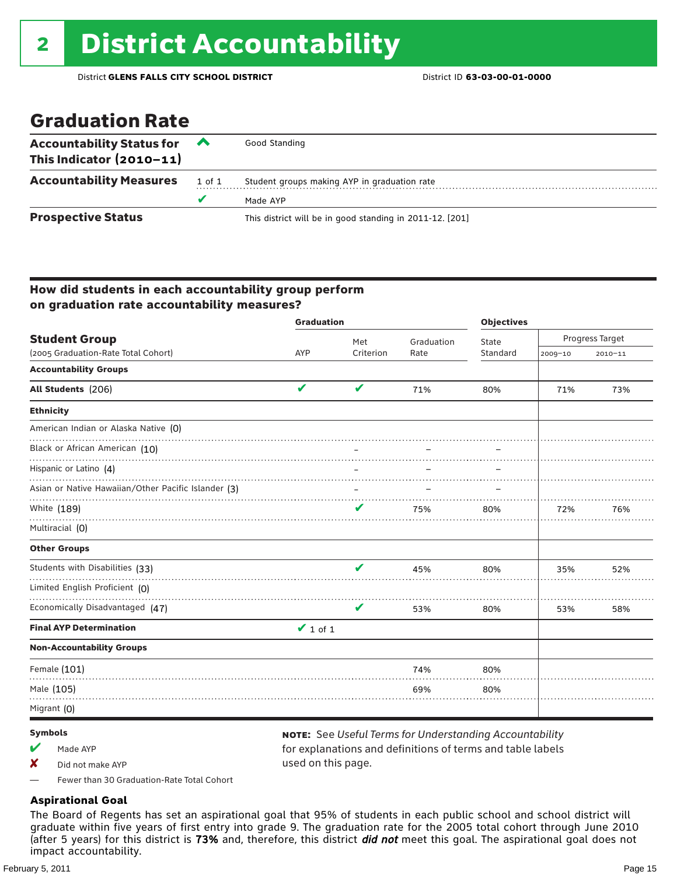# Graduation Rate

| <b>Accountability Status for</b><br>This Indicator $(2010-11)$ | $\sim$ | Good Standing                                            |
|----------------------------------------------------------------|--------|----------------------------------------------------------|
| <b>Accountability Measures</b>                                 | 1 of 1 | Student groups making AYP in graduation rate             |
|                                                                |        | Made AYP                                                 |
| <b>Prospective Status</b>                                      |        | This district will be in good standing in 2011-12. [201] |

## How did students in each accountability group perform on graduation rate accountability measures?

|                                                     | <b>Graduation</b> |                   | <b>Objectives</b> |          |                 |             |
|-----------------------------------------------------|-------------------|-------------------|-------------------|----------|-----------------|-------------|
| <b>Student Group</b>                                |                   | Met               | Graduation        | State    | Progress Target |             |
| (2005 Graduation-Rate Total Cohort)                 | <b>AYP</b>        | Criterion         | Rate              | Standard | 2009-10         | $2010 - 11$ |
| <b>Accountability Groups</b>                        |                   |                   |                   |          |                 |             |
| All Students (206)                                  | $\checkmark$      | V                 | 71%               | 80%      | 71%             | 73%         |
| <b>Ethnicity</b>                                    |                   |                   |                   |          |                 |             |
| American Indian or Alaska Native (0)                |                   |                   |                   |          |                 |             |
| Black or African American (10)                      |                   |                   |                   |          |                 |             |
| Hispanic or Latino (4)                              |                   |                   |                   |          |                 |             |
| Asian or Native Hawaiian/Other Pacific Islander (3) |                   | $\qquad \qquad -$ |                   |          |                 |             |
| White (189)                                         |                   | ✔                 | 75%               | 80%      | 72%             | 76%         |
| Multiracial (0)                                     |                   |                   |                   |          |                 |             |
| <b>Other Groups</b>                                 |                   |                   |                   |          |                 |             |
| Students with Disabilities (33)                     |                   | V                 | 45%               | 80%      | 35%             | 52%         |
| Limited English Proficient (0)                      |                   |                   |                   |          |                 |             |
| Economically Disadvantaged (47)                     |                   | V                 | 53%               | 80%      | 53%             | 58%         |
| <b>Final AYP Determination</b>                      | $\vee$ 1 of 1     |                   |                   |          |                 |             |
| <b>Non-Accountability Groups</b>                    |                   |                   |                   |          |                 |             |
| Female (101)                                        |                   |                   | 74%               | 80%      |                 |             |
| Male (105)                                          |                   |                   | 69%               | 80%      |                 |             |
| Migrant (0)                                         |                   |                   |                   |          |                 |             |

## Symbols

- $M$  Made AYP
- X Did not make AYP

note: See *Useful Terms for Understanding Accountability*  for explanations and definitions of terms and table labels used on this page.

— Fewer than 30 Graduation-Rate Total Cohort

## **Aspirational Goal**

The Board of Regents has set an aspirational goal that 95% of students in each public school and school district will graduate within five years of first entry into grade 9. The graduation rate for the 2005 total cohort through June 2010 (after 5 years) for this district is 73% and, therefore, this district *did not* meet this goal. The aspirational goal does not impact accountability.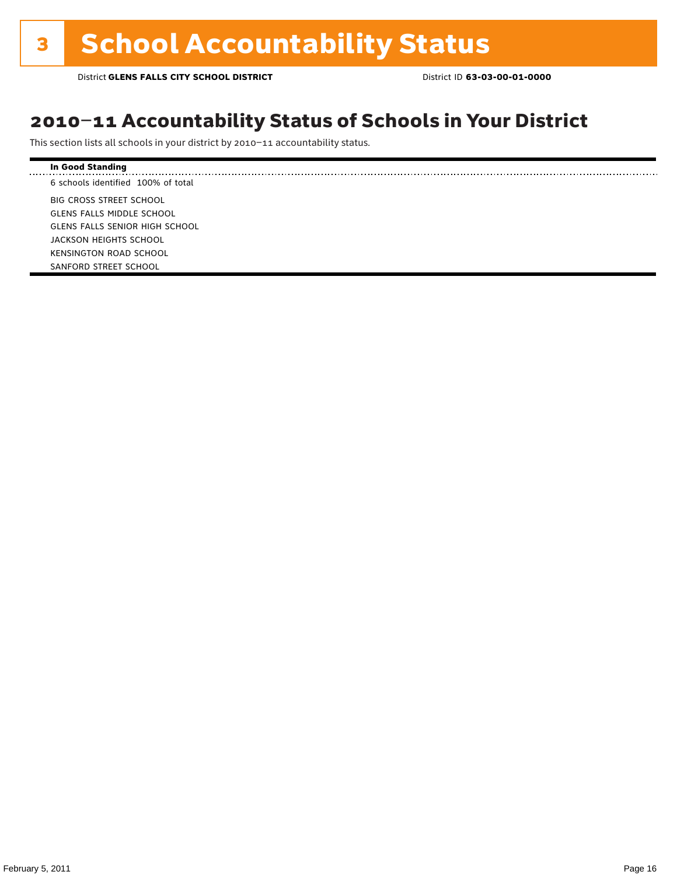# 2010–11 Accountability Status of Schools in Your District

This section lists all schools in your district by 2010–11 accountability status.

## **In Good Standing**

6 schools identified 100% of total

BIG CROSS STREET SCHOOL GLENS FALLS MIDDLE SCHOOL GLENS FALLS SENIOR HIGH SCHOOL JACKSON HEIGHTS SCHOOL KENSINGTON ROAD SCHOOL SANFORD STREET SCHOOL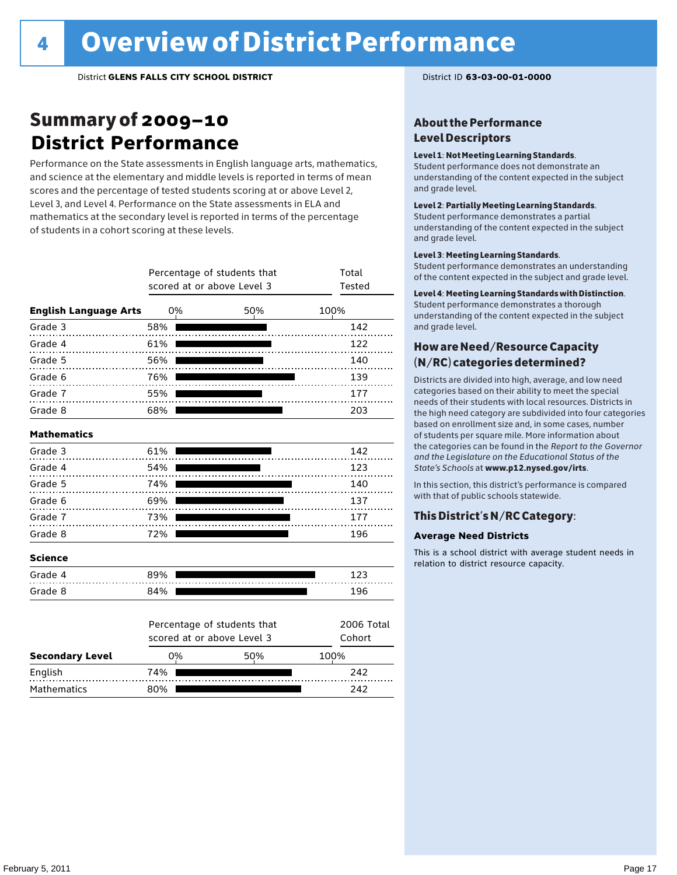# Summary of 2009–10 **District Performance**

Performance on the State assessments in English language arts, mathematics, and science at the elementary and middle levels is reported in terms of mean scores and the percentage of tested students scoring at or above Level 2, Level 3, and Level 4. Performance on the State assessments in ELA and mathematics at the secondary level is reported in terms of the percentage of students in a cohort scoring at these levels.

|                              |     | Percentage of students that<br>scored at or above Level 3 | Total<br>Tested |      |
|------------------------------|-----|-----------------------------------------------------------|-----------------|------|
| <b>English Language Arts</b> | 0%  |                                                           | 50%             | 100% |
| Grade 3                      | 58% |                                                           |                 | 142  |
| Grade 4                      | 61% |                                                           |                 | 122  |
| Grade 5                      | 56% |                                                           |                 | 140  |
| Grade 6                      | 76% |                                                           |                 | 139  |
| Grade 7                      | 55% |                                                           | .               | 177  |
| Grade 8                      | 68% |                                                           |                 | 203  |
| <b>Mathematics</b>           |     |                                                           |                 |      |
| Grade 3                      | 61% |                                                           |                 | 142  |
| Grade 4                      | 54% |                                                           |                 | 123  |
| Grade 5                      | 74% |                                                           |                 | 140  |
| Grade 6                      | 69% |                                                           |                 | 137  |
| Grade 7                      | 73% |                                                           |                 | 177  |
| Grade 8                      | 72% |                                                           |                 | 196  |
| <b>Science</b>               |     |                                                           |                 |      |
| Grade 4                      | 89% |                                                           |                 | 123  |
| Grade 8                      | 84% |                                                           |                 | 196  |
|                              |     | Percentage of students that                               | 2006 Total      |      |
|                              |     | scored at or above Level 3                                | Cohort          |      |

|                        |     | <u>JUUIUU ULUI UNUVU LUVULU</u> |      |  |  |  |  |
|------------------------|-----|---------------------------------|------|--|--|--|--|
| <b>Secondary Level</b> | 0%  | 50%                             | 100% |  |  |  |  |
| English                | 74% |                                 | 242  |  |  |  |  |
| Mathematics            | 80% |                                 | 242  |  |  |  |  |

## About the Performance Level Descriptors

#### Level 1: Not Meeting Learning Standards.

Student performance does not demonstrate an understanding of the content expected in the subject and grade level.

#### Level 2: Partially Meeting Learning Standards.

Student performance demonstrates a partial understanding of the content expected in the subject and grade level.

#### Level 3: Meeting Learning Standards.

Student performance demonstrates an understanding of the content expected in the subject and grade level.

#### Level 4: Meeting Learning Standards with Distinction.

Student performance demonstrates a thorough understanding of the content expected in the subject and grade level.

## How are Need/Resource Capacity (N/RC) categories determined?

Districts are divided into high, average, and low need categories based on their ability to meet the special needs of their students with local resources. Districts in the high need category are subdivided into four categories based on enrollment size and, in some cases, number of students per square mile. More information about the categories can be found in the *Report to the Governor and the Legislature on the Educational Status of the State's Schools* at www.p12.nysed.gov/irts.

In this section, this district's performance is compared with that of public schools statewide.

## This District's N/RC Category:

## **Average Need Districts**

This is a school district with average student needs in relation to district resource capacity.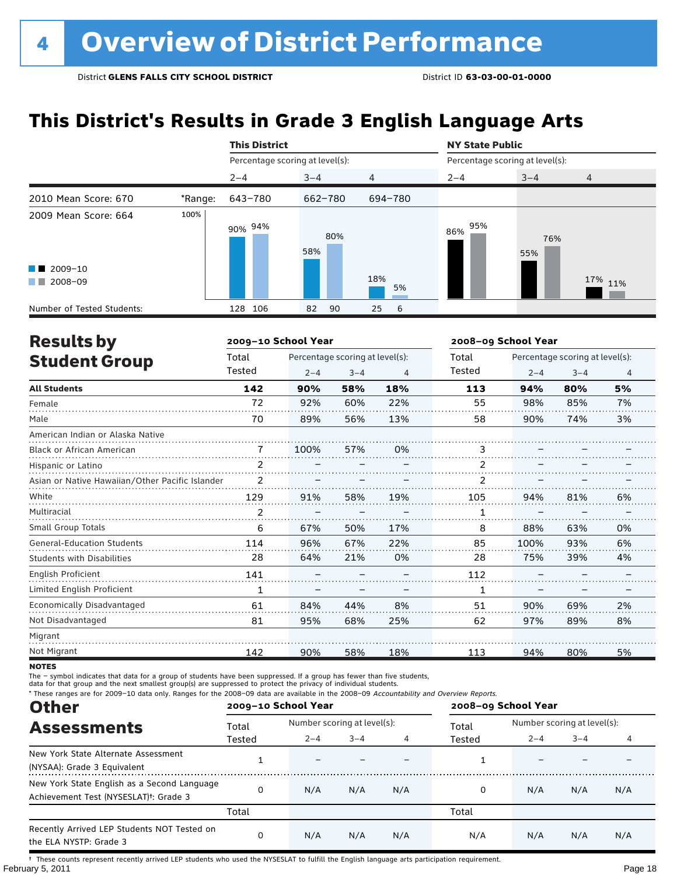# **This District's Results in Grade 3 English Language Arts**

|                            |         | <b>This District</b>            |            |                   |            | <b>NY State Public</b>          |                |  |  |
|----------------------------|---------|---------------------------------|------------|-------------------|------------|---------------------------------|----------------|--|--|
|                            |         | Percentage scoring at level(s): |            |                   |            | Percentage scoring at level(s): |                |  |  |
|                            |         | $2 - 4$                         | $3 - 4$    | $\overline{4}$    | $2 - 4$    | $3 - 4$                         | $\overline{4}$ |  |  |
| 2010 Mean Score: 670       | *Range: | 643-780                         | 662-780    | 694-780           |            |                                 |                |  |  |
| 2009 Mean Score: 664       | 100%    | 90% 94%                         | 80%<br>58% |                   | 95%<br>86% | 76%<br>55%                      |                |  |  |
| $\blacksquare$ 2009-10     |         |                                 |            |                   |            |                                 |                |  |  |
| 2008-09<br>a kacamatan     |         |                                 |            | 18%<br>5%         |            |                                 | 17% 11%        |  |  |
| Number of Tested Students: |         | 106<br>128                      | 82<br>-90  | $6^{\circ}$<br>25 |            |                                 |                |  |  |

| <b>Results by</b>                               |        | 2009-10 School Year |                                 |     | 2008-09 School Year |         |                                 |                |
|-------------------------------------------------|--------|---------------------|---------------------------------|-----|---------------------|---------|---------------------------------|----------------|
| <b>Student Group</b>                            | Total  |                     | Percentage scoring at level(s): |     | Total               |         | Percentage scoring at level(s): |                |
|                                                 | Tested | $2 - 4$             | $3 - 4$                         | 4   | Tested              | $2 - 4$ | $3 - 4$                         | $\overline{4}$ |
| <b>All Students</b>                             | 142    | 90%                 | 58%                             | 18% | 113                 | 94%     | 80%                             | 5%             |
| Female                                          | 72     | 92%                 | 60%                             | 22% | 55                  | 98%     | 85%                             | 7%             |
| Male                                            | 70     | 89%                 | 56%                             | 13% | 58                  | 90%     | 74%                             | 3%             |
| American Indian or Alaska Native                |        |                     |                                 |     |                     |         |                                 |                |
| <b>Black or African American</b>                | 7      | 100%                | 57%                             | 0%  | 3                   |         |                                 |                |
| Hispanic or Latino                              | 2      |                     |                                 |     | $\overline{2}$      |         |                                 |                |
| Asian or Native Hawaiian/Other Pacific Islander | 2      |                     |                                 |     | 2                   |         |                                 |                |
| White                                           | 129    | 91%                 | 58%                             | 19% | 105                 | 94%     | 81%                             | 6%             |
| Multiracial                                     | 2      |                     |                                 |     | 1                   |         |                                 |                |
| Small Group Totals                              | 6      | 67%                 | 50%                             | 17% | 8                   | 88%     | 63%                             | 0%             |
| <b>General-Education Students</b>               | 114    | 96%                 | 67%                             | 22% | 85                  | 100%    | 93%                             | 6%             |
| <b>Students with Disabilities</b>               | 28     | 64%                 | 21%                             | 0%  | 28                  | 75%     | 39%                             | 4%             |
| English Proficient                              | 141    |                     |                                 |     | 112                 |         |                                 |                |
| Limited English Proficient                      | 1      |                     |                                 |     | 1                   |         |                                 |                |
| Economically Disadvantaged                      | 61     | 84%                 | 44%                             | 8%  | 51                  | 90%     | 69%                             | 2%             |
| Not Disadvantaged                               | 81     | 95%                 | 68%                             | 25% | 62                  | 97%     | 89%                             | 8%             |
| Migrant                                         |        |                     |                                 |     |                     |         |                                 |                |
| Not Migrant                                     | 142    | 90%                 | 58%                             | 18% | 113                 | 94%     | 80%                             | 5%             |

**NOTES** 

The – symbol indicates that data for a group of students have been suppressed. If a group has fewer than five students,

data for that group and the next smallest group(s) are suppressed to protect the privacy of individual students.

\* These ranges are for 2009–10 data only. Ranges for the 2008–09 data are available in the 2008–09 Accountability and Overview Reports.

| <b>Other</b>                                                                                                                                   |        | 2009-10 School Year |                             |     |        | 2008-09 School Year         |         |     |  |
|------------------------------------------------------------------------------------------------------------------------------------------------|--------|---------------------|-----------------------------|-----|--------|-----------------------------|---------|-----|--|
|                                                                                                                                                | Total  |                     | Number scoring at level(s): |     |        | Number scoring at level(s): |         |     |  |
| <b>Assessments</b><br>New York State Alternate Assessment<br>(NYSAA): Grade 3 Equivalent<br>Achievement Test (NYSESLAT) <sup>+</sup> : Grade 3 | Tested | $2 - 4$             | $3 - 4$                     |     | Tested | $2 - 4$                     | $3 - 4$ |     |  |
|                                                                                                                                                |        |                     |                             |     |        |                             |         |     |  |
| New York State English as a Second Language                                                                                                    |        | N/A                 | N/A                         | N/A | 0      | N/A                         | N/A     | N/A |  |
|                                                                                                                                                | Total  |                     |                             |     | Total  |                             |         |     |  |
| Recently Arrived LEP Students NOT Tested on<br>the ELA NYSTP: Grade 3                                                                          |        | N/A                 | N/A                         | N/A | N/A    | N/A                         | N/A     | N/A |  |

February 5, 2011 **Page 18** † These counts represent recently arrived LEP students who used the NYSESLAT to fulfill the English language arts participation requirement.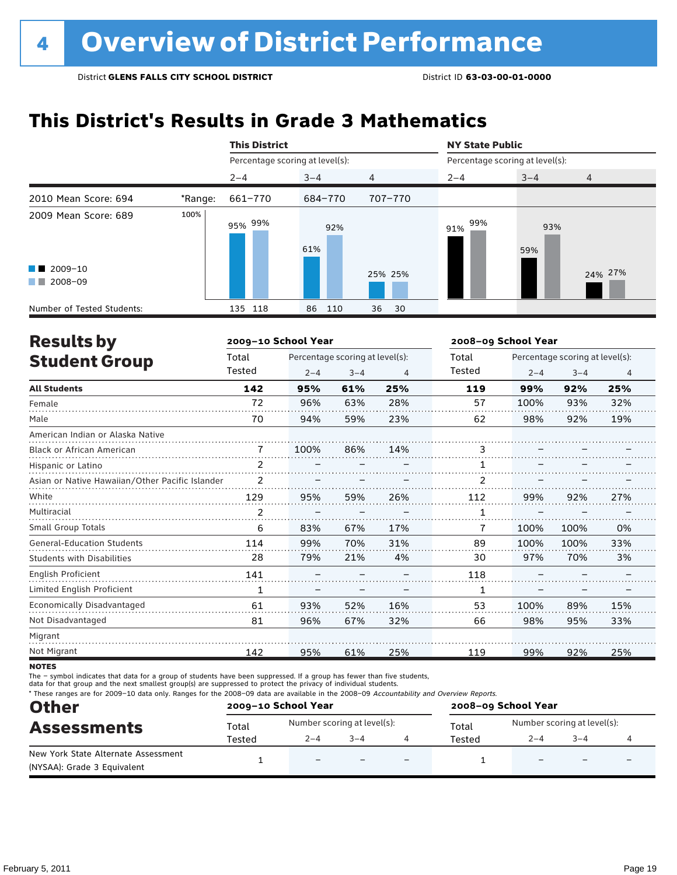# **This District's Results in Grade 3 Mathematics**

|                                                                                                                                                                                                                                                                           |         | <b>This District</b>            |            |                | <b>NY State Public</b>          |            |                |  |
|---------------------------------------------------------------------------------------------------------------------------------------------------------------------------------------------------------------------------------------------------------------------------|---------|---------------------------------|------------|----------------|---------------------------------|------------|----------------|--|
|                                                                                                                                                                                                                                                                           |         | Percentage scoring at level(s): |            |                | Percentage scoring at level(s): |            |                |  |
|                                                                                                                                                                                                                                                                           |         | $2 - 4$                         | $3 - 4$    | $\overline{4}$ | $2 - 4$                         | $3 - 4$    | $\overline{4}$ |  |
| 2010 Mean Score: 694                                                                                                                                                                                                                                                      | *Range: | 661-770                         | 684-770    | 707-770        |                                 |            |                |  |
| 2009 Mean Score: 689                                                                                                                                                                                                                                                      | 100%    | 95% 99%                         | 92%<br>61% |                | 99%<br>91%                      | 93%<br>59% |                |  |
| $\blacksquare$ 2009-10<br>2008-09<br><b>The Contract of the Contract of the Contract of the Contract of the Contract of the Contract of the Contract of the Contract of the Contract of the Contract of the Contract of the Contract of The Contract of The Contract </b> |         |                                 |            | 25% 25%        |                                 |            | 24% 27%        |  |
| Number of Tested Students:                                                                                                                                                                                                                                                |         | 135 118                         | 110<br>86  | 36<br>30       |                                 |            |                |  |

| <b>Results by</b>                               |                | 2009-10 School Year |                                 |     | 2008-09 School Year |         |                                 |     |
|-------------------------------------------------|----------------|---------------------|---------------------------------|-----|---------------------|---------|---------------------------------|-----|
| <b>Student Group</b>                            | Total          |                     | Percentage scoring at level(s): |     | Total               |         | Percentage scoring at level(s): |     |
|                                                 | Tested         | $2 - 4$             | $3 - 4$                         | 4   | Tested              | $2 - 4$ | $3 - 4$                         | 4   |
| <b>All Students</b>                             | 142            | 95%                 | 61%                             | 25% | 119                 | 99%     | 92%                             | 25% |
| Female                                          | 72             | 96%                 | 63%                             | 28% | 57                  | 100%    | 93%                             | 32% |
| Male                                            | 70             | 94%                 | 59%                             | 23% | 62                  | 98%     | 92%                             | 19% |
| American Indian or Alaska Native                |                |                     |                                 |     |                     |         |                                 |     |
| <b>Black or African American</b>                | 7              | 100%                | 86%                             | 14% | 3                   |         |                                 |     |
| Hispanic or Latino                              | 2              |                     |                                 |     |                     |         |                                 |     |
| Asian or Native Hawaiian/Other Pacific Islander | 2              |                     |                                 |     | 2                   |         |                                 |     |
| White                                           | 129            | 95%                 | 59%                             | 26% | 112                 | 99%     | 92%                             | 27% |
| Multiracial                                     | $\overline{2}$ |                     |                                 |     | 1                   |         |                                 |     |
| <b>Small Group Totals</b>                       | 6              | 83%                 | 67%                             | 17% | 7                   | 100%    | 100%                            | 0%  |
| <b>General-Education Students</b>               | 114            | 99%                 | 70%                             | 31% | 89                  | 100%    | 100%                            | 33% |
| <b>Students with Disabilities</b>               | 28             | 79%                 | 21%                             | 4%  | 30                  | 97%     | 70%                             | 3%  |
| <b>English Proficient</b>                       | 141            |                     |                                 |     | 118                 |         |                                 |     |
| Limited English Proficient                      | 1              |                     |                                 |     | 1                   |         |                                 |     |
| Economically Disadvantaged                      | 61             | 93%                 | 52%                             | 16% | 53                  | 100%    | 89%                             | 15% |
| Not Disadvantaged                               | 81             | 96%                 | 67%                             | 32% | 66                  | 98%     | 95%                             | 33% |
| Migrant                                         |                |                     |                                 |     |                     |         |                                 |     |
| Not Migrant                                     | 142            | 95%                 | 61%                             | 25% | 119                 | 99%     | 92%                             | 25% |
|                                                 |                |                     |                                 |     |                     |         |                                 |     |

**NOTES** 

The – symbol indicates that data for a group of students have been suppressed. If a group has fewer than five students,

data for that group and the next smallest group(s) are suppressed to protect the privacy of individual students.

\* These ranges are for 2009–10 data only. Ranges for the 2008–09 data are available in the 2008–09 Accountability and Overview Reports.

| <b>Other</b><br><b>Assessments</b>  |        | 2009-10 School Year          |         | 2008-09 School Year |                             |         |  |  |
|-------------------------------------|--------|------------------------------|---------|---------------------|-----------------------------|---------|--|--|
|                                     | Total  | Number scoring at level(s):  |         | Total               | Number scoring at level(s): |         |  |  |
|                                     | Tested | $2 - 4$                      | $3 - 4$ | Tested              | $2 - 4$                     | $3 - 4$ |  |  |
| New York State Alternate Assessment |        | $\qquad \qquad \blacksquare$ |         |                     |                             |         |  |  |
| (NYSAA): Grade 3 Equivalent         |        |                              |         |                     |                             |         |  |  |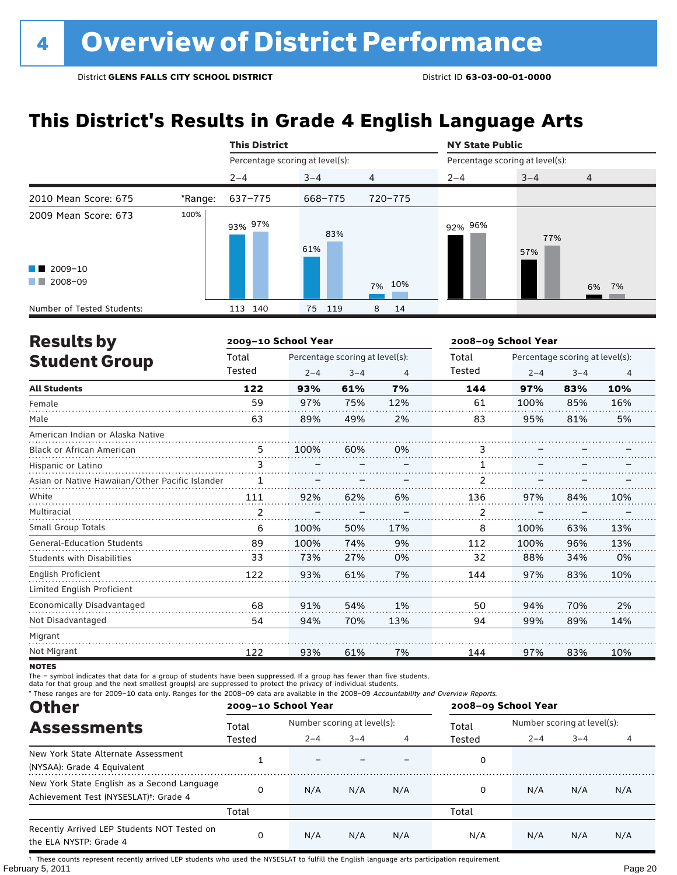# **This District's Results in Grade 4 English Language Arts**

|                                                                   |         | <b>This District</b>            |            |                | <b>NY State Public</b><br>Percentage scoring at level(s): |            |                |  |
|-------------------------------------------------------------------|---------|---------------------------------|------------|----------------|-----------------------------------------------------------|------------|----------------|--|
|                                                                   |         | Percentage scoring at level(s): |            |                |                                                           |            |                |  |
|                                                                   |         | $2 - 4$                         | $3 - 4$    | $\overline{4}$ | $2 - 4$                                                   | $3 - 4$    | $\overline{4}$ |  |
| 2010 Mean Score: 675                                              | *Range: | 637-775                         | 668-775    | 720-775        |                                                           |            |                |  |
| 2009 Mean Score: 673<br>$\blacksquare$ 2009-10<br>2008-09<br>a ka | 100%    | 93% 97%                         | 83%<br>61% | 7% 10%         | 92% 96%                                                   | 77%<br>57% | 6% 7%          |  |
| Number of Tested Students:                                        |         | 113 140                         | 119<br>75  | 8<br>14        |                                                           |            |                |  |

| <b>Results by</b>                               |        | 2009-10 School Year |                                 |     | 2008-09 School Year |         |                                 |                |
|-------------------------------------------------|--------|---------------------|---------------------------------|-----|---------------------|---------|---------------------------------|----------------|
| <b>Student Group</b>                            | Total  |                     | Percentage scoring at level(s): |     | Total               |         | Percentage scoring at level(s): |                |
|                                                 | Tested | $2 - 4$             | $3 - 4$                         | 4   | Tested              | $2 - 4$ | $3 - 4$                         | $\overline{4}$ |
| <b>All Students</b>                             | 122    | 93%                 | 61%                             | 7%  | 144                 | 97%     | 83%                             | 10%            |
| Female                                          | 59     | 97%                 | 75%                             | 12% | 61                  | 100%    | 85%                             | 16%            |
| Male                                            | 63     | 89%                 | 49%                             | 2%  | 83                  | 95%     | 81%                             | 5%             |
| American Indian or Alaska Native                |        |                     |                                 |     |                     |         |                                 |                |
| <b>Black or African American</b>                | 5      | 100%                | 60%                             | 0%  | 3                   |         |                                 |                |
| Hispanic or Latino                              | 3      |                     |                                 |     |                     |         |                                 |                |
| Asian or Native Hawaiian/Other Pacific Islander | 1      |                     |                                 |     | 2                   |         |                                 |                |
| White                                           | 111    | 92%                 | 62%                             | 6%  | 136                 | 97%     | 84%                             | 10%            |
| Multiracial                                     | 2      |                     |                                 |     | 2                   |         |                                 |                |
| Small Group Totals                              | 6      | 100%                | 50%                             | 17% | 8                   | 100%    | 63%                             | 13%            |
| <b>General-Education Students</b>               | 89     | 100%                | 74%                             | 9%  | 112                 | 100%    | 96%                             | 13%            |
| <b>Students with Disabilities</b>               | 33     | 73%                 | 27%                             | 0%  | 32                  | 88%     | 34%                             | 0%             |
| English Proficient                              | 122    | 93%                 | 61%                             | 7%  | 144                 | 97%     | 83%                             | 10%            |
| Limited English Proficient                      |        |                     |                                 |     |                     |         |                                 |                |
| Economically Disadvantaged                      | 68     | 91%                 | 54%                             | 1%  | 50                  | 94%     | 70%                             | 2%             |
| Not Disadvantaged                               | 54     | 94%                 | 70%                             | 13% | 94                  | 99%     | 89%                             | 14%            |
| Migrant                                         |        |                     |                                 |     |                     |         |                                 |                |
| Not Migrant                                     | 122    | 93%                 | 61%                             | 7%  | 144                 | 97%     | 83%                             | 10%            |

**NOTES** 

The – symbol indicates that data for a group of students have been suppressed. If a group has fewer than five students,

data for that group and the next smallest group(s) are suppressed to protect the privacy of individual students.

\* These ranges are for 2009–10 data only. Ranges for the 2008–09 data are available in the 2008–09 Accountability and Overview Reports.

| <b>Other</b>                                                                                      |        | 2009-10 School Year |                             |     | 2008-09 School Year |                             |         |     |
|---------------------------------------------------------------------------------------------------|--------|---------------------|-----------------------------|-----|---------------------|-----------------------------|---------|-----|
| <b>Assessments</b>                                                                                | Total  |                     | Number scoring at level(s): |     |                     | Number scoring at level(s): |         |     |
|                                                                                                   | Tested | $2 - 4$             | $3 - 4$                     |     | Tested              | $2 - 4$                     | $3 - 4$ | 4   |
| New York State Alternate Assessment<br>(NYSAA): Grade 4 Equivalent                                |        |                     |                             |     | 0                   |                             |         |     |
| New York State English as a Second Language<br>Achievement Test (NYSESLAT) <sup>†</sup> : Grade 4 |        | N/A                 | N/A                         | N/A | 0                   | N/A                         | N/A     | N/A |
|                                                                                                   | Total  |                     |                             |     | Total               |                             |         |     |
| Recently Arrived LEP Students NOT Tested on<br>the ELA NYSTP: Grade 4                             |        | N/A                 | N/A                         | N/A | N/A                 | N/A                         | N/A     | N/A |

February 5, 2011 Page 20 † These counts represent recently arrived LEP students who used the NYSESLAT to fulfill the English language arts participation requirement.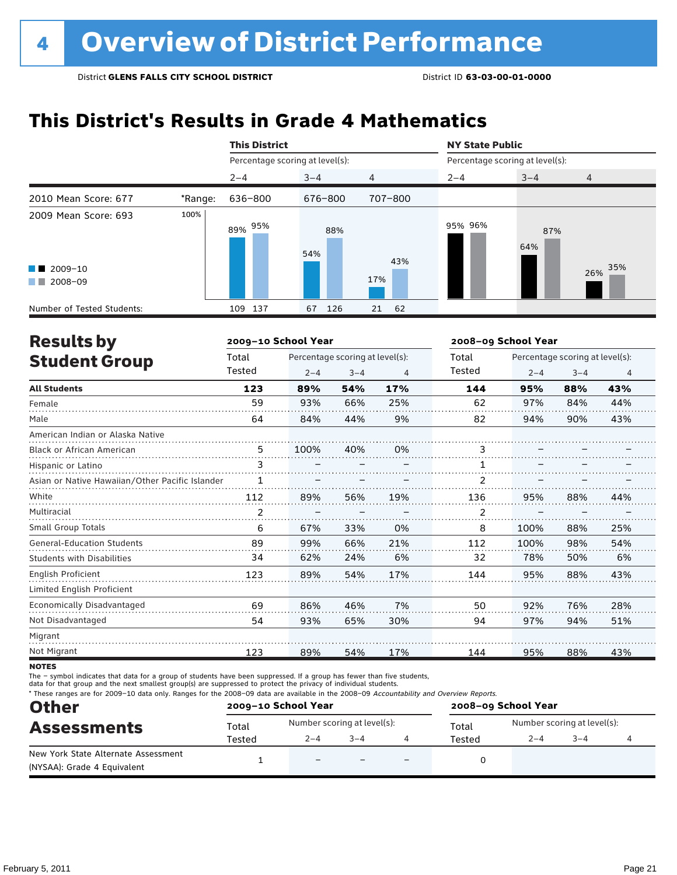# **This District's Results in Grade 4 Mathematics**

|                                                                                                                                                                                                                                                                                                   |         | <b>This District</b>            |            |                | <b>NY State Public</b>          |            |            |  |  |
|---------------------------------------------------------------------------------------------------------------------------------------------------------------------------------------------------------------------------------------------------------------------------------------------------|---------|---------------------------------|------------|----------------|---------------------------------|------------|------------|--|--|
|                                                                                                                                                                                                                                                                                                   |         | Percentage scoring at level(s): |            |                | Percentage scoring at level(s): |            |            |  |  |
|                                                                                                                                                                                                                                                                                                   |         | $2 - 4$                         | $3 - 4$    | $\overline{4}$ | $2 - 4$                         | $3 - 4$    | 4          |  |  |
| 2010 Mean Score: 677                                                                                                                                                                                                                                                                              | *Range: | 636-800                         | 676-800    | 707-800        |                                 |            |            |  |  |
| 2009 Mean Score: 693<br>$\blacksquare$ 2009-10<br>2008-09<br><b>The Contract of the Contract of the Contract of the Contract of the Contract of the Contract of the Contract of the Contract of the Contract of the Contract of the Contract of the Contract of The Contract of The Contract </b> | 100%    | 95%<br>89%                      | 88%<br>54% | 43%<br>17%     | 95% 96%                         | 87%<br>64% | 35%<br>26% |  |  |
| Number of Tested Students:                                                                                                                                                                                                                                                                        |         | 137<br>109                      | 126<br>67  | 62<br>21       |                                 |            |            |  |  |

| <b>Results by</b>                               |                | 2009-10 School Year |                                 |     | 2008-09 School Year |         |                                 |     |
|-------------------------------------------------|----------------|---------------------|---------------------------------|-----|---------------------|---------|---------------------------------|-----|
| <b>Student Group</b>                            | Total          |                     | Percentage scoring at level(s): |     | Total               |         | Percentage scoring at level(s): |     |
|                                                 | Tested         | $2 - 4$             | $3 - 4$                         | 4   | Tested              | $2 - 4$ | $3 - 4$                         | 4   |
| <b>All Students</b>                             | 123            | 89%                 | 54%                             | 17% | 144                 | 95%     | 88%                             | 43% |
| Female                                          | 59             | 93%                 | 66%                             | 25% | 62                  | 97%     | 84%                             | 44% |
| Male                                            | 64             | 84%                 | 44%                             | 9%  | 82                  | 94%     | 90%                             | 43% |
| American Indian or Alaska Native                |                |                     |                                 |     |                     |         |                                 |     |
| <b>Black or African American</b>                | 5              | 100%                | 40%                             | 0%  | 3                   |         |                                 |     |
| Hispanic or Latino                              | 3              |                     |                                 |     |                     |         |                                 |     |
| Asian or Native Hawaiian/Other Pacific Islander |                |                     |                                 |     | 2                   |         |                                 |     |
| White                                           | 112            | 89%                 | 56%                             | 19% | 136                 | 95%     | 88%                             | 44% |
| Multiracial                                     | $\overline{2}$ |                     |                                 |     | 2                   |         |                                 |     |
| <b>Small Group Totals</b>                       | 6              | 67%                 | 33%                             | 0%  | 8                   | 100%    | 88%                             | 25% |
| <b>General-Education Students</b>               | 89             | 99%                 | 66%                             | 21% | 112                 | 100%    | 98%                             | 54% |
| <b>Students with Disabilities</b>               | 34             | 62%                 | 24%                             | 6%  | 32                  | 78%     | 50%                             | 6%  |
| English Proficient                              | 123            | 89%                 | 54%                             | 17% | 144                 | 95%     | 88%                             | 43% |
| Limited English Proficient                      |                |                     |                                 |     |                     |         |                                 |     |
| Economically Disadvantaged                      | 69             | 86%                 | 46%                             | 7%  | 50                  | 92%     | 76%                             | 28% |
| Not Disadvantaged                               | 54             | 93%                 | 65%                             | 30% | 94                  | 97%     | 94%                             | 51% |
| Migrant                                         |                |                     |                                 |     |                     |         |                                 |     |
| Not Migrant                                     | 123            | 89%                 | 54%                             | 17% | 144                 | 95%     | 88%                             | 43% |

**NOTES** 

The – symbol indicates that data for a group of students have been suppressed. If a group has fewer than five students,

data for that group and the next smallest group(s) are suppressed to protect the privacy of individual students.

\* These ranges are for 2009–10 data only. Ranges for the 2008–09 data are available in the 2008–09 Accountability and Overview Reports.

| <b>Other</b>                        | 2009-10 School Year |                             |         | 2008-09 School Year |                             |         |  |  |
|-------------------------------------|---------------------|-----------------------------|---------|---------------------|-----------------------------|---------|--|--|
| <b>Assessments</b>                  | Total               | Number scoring at level(s): |         | Total               | Number scoring at level(s): |         |  |  |
|                                     | Tested              | $2 - 4$                     | $3 - 4$ | Tested              | $2 - 4$                     | $3 - 4$ |  |  |
| New York State Alternate Assessment |                     | $\overline{\phantom{a}}$    |         |                     |                             |         |  |  |
| (NYSAA): Grade 4 Equivalent         |                     |                             |         |                     |                             |         |  |  |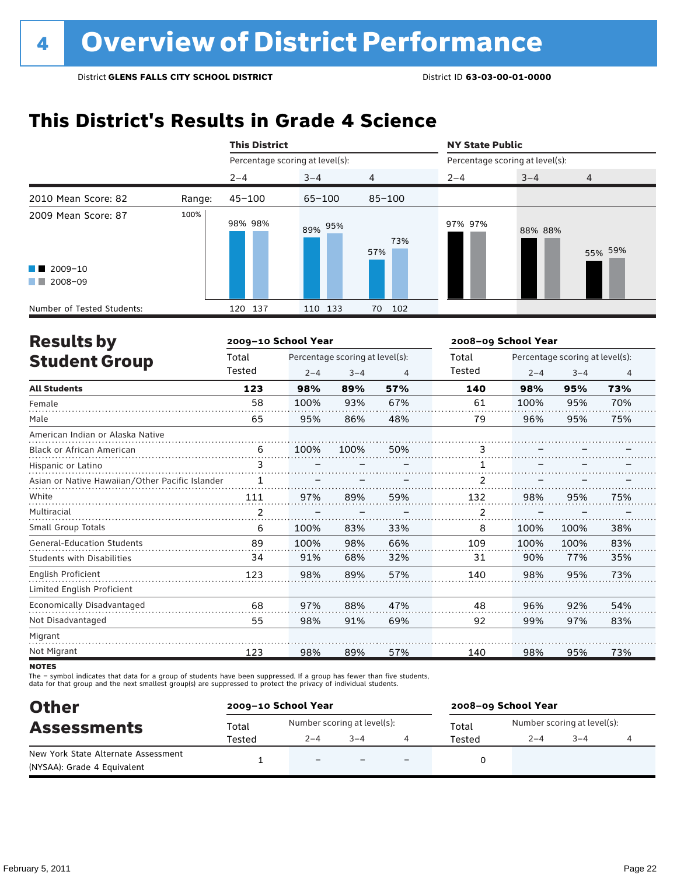# **This District's Results in Grade 4 Science**

|                                                                         |        | <b>This District</b>            |            |                | <b>NY State Public</b>          |         |                |  |  |
|-------------------------------------------------------------------------|--------|---------------------------------|------------|----------------|---------------------------------|---------|----------------|--|--|
|                                                                         |        | Percentage scoring at level(s): |            |                | Percentage scoring at level(s): |         |                |  |  |
|                                                                         |        | $2 - 4$                         | $3 - 4$    | $\overline{4}$ | $2 - 4$                         | $3 - 4$ | $\overline{4}$ |  |  |
| 2010 Mean Score: 82                                                     | Range: | $45 - 100$                      | $65 - 100$ | $85 - 100$     |                                 |         |                |  |  |
| 2009 Mean Score: 87<br>$\blacksquare$ 2009-10<br>2008-09<br>a kacamatan | 100%   | 98% 98%                         | 89% 95%    | 73%<br>57%     | 97% 97%                         | 88% 88% | 55% 59%        |  |  |
| Number of Tested Students:                                              |        | 120 137                         | 110 133    | 70<br>102      |                                 |         |                |  |  |

| <b>Results by</b>                               |                | 2009-10 School Year |                                 |     |        | 2008-09 School Year             |         |     |  |  |
|-------------------------------------------------|----------------|---------------------|---------------------------------|-----|--------|---------------------------------|---------|-----|--|--|
| <b>Student Group</b>                            | Total          |                     | Percentage scoring at level(s): |     | Total  | Percentage scoring at level(s): |         |     |  |  |
|                                                 | Tested         | $2 - 4$             | $3 - 4$                         | 4   | Tested | $2 - 4$                         | $3 - 4$ | 4   |  |  |
| <b>All Students</b>                             | 123            | 98%                 | 89%                             | 57% | 140    | 98%                             | 95%     | 73% |  |  |
| Female                                          | 58             | 100%                | 93%                             | 67% | 61     | 100%                            | 95%     | 70% |  |  |
| Male                                            | 65             | 95%                 | 86%                             | 48% | 79     | 96%                             | 95%     | 75% |  |  |
| American Indian or Alaska Native                |                |                     |                                 |     |        |                                 |         |     |  |  |
| <b>Black or African American</b>                | 6              | 100%                | 100%                            | 50% | 3      |                                 |         |     |  |  |
| Hispanic or Latino                              | 3              |                     |                                 |     |        |                                 |         |     |  |  |
| Asian or Native Hawaiian/Other Pacific Islander |                |                     |                                 |     | 2      |                                 |         |     |  |  |
| White                                           | 111            | 97%                 | 89%                             | 59% | 132    | 98%                             | 95%     | 75% |  |  |
| Multiracial                                     | $\overline{2}$ |                     |                                 |     | 2      |                                 |         |     |  |  |
| <b>Small Group Totals</b>                       | 6              | 100%                | 83%                             | 33% | 8      | 100%                            | 100%    | 38% |  |  |
| <b>General-Education Students</b>               | 89             | 100%                | 98%                             | 66% | 109    | 100%                            | 100%    | 83% |  |  |
| <b>Students with Disabilities</b>               | 34             | 91%                 | 68%                             | 32% | 31     | 90%                             | 77%     | 35% |  |  |
| <b>English Proficient</b>                       | 123            | 98%                 | 89%                             | 57% | 140    | 98%                             | 95%     | 73% |  |  |
| Limited English Proficient                      |                |                     |                                 |     |        |                                 |         |     |  |  |
| Economically Disadvantaged                      | 68             | 97%                 | 88%                             | 47% | 48     | 96%                             | 92%     | 54% |  |  |
| Not Disadvantaged                               | 55             | 98%                 | 91%                             | 69% | 92     | 99%                             | 97%     | 83% |  |  |
| Migrant                                         |                |                     |                                 |     |        |                                 |         |     |  |  |
| Not Migrant                                     | 123            | 98%                 | 89%                             | 57% | 140    | 98%                             | 95%     | 73% |  |  |

**NOTES** 

The – symbol indicates that data for a group of students have been suppressed. If a group has fewer than five students,<br>data for that group and the next smallest group(s) are suppressed to protect the privacy of individual

| <b>Other</b>                        |        | 2009-10 School Year         |         |  | 2008-09 School Year |         |                             |  |  |
|-------------------------------------|--------|-----------------------------|---------|--|---------------------|---------|-----------------------------|--|--|
| <b>Assessments</b>                  | Total  | Number scoring at level(s): |         |  | Total               |         | Number scoring at level(s): |  |  |
|                                     | Tested | $2 - 4$                     | $3 - 4$ |  | Tested              | $2 - 4$ | $-4$                        |  |  |
| New York State Alternate Assessment |        | $\overline{\phantom{0}}$    |         |  |                     |         |                             |  |  |
| (NYSAA): Grade 4 Equivalent         |        |                             |         |  |                     |         |                             |  |  |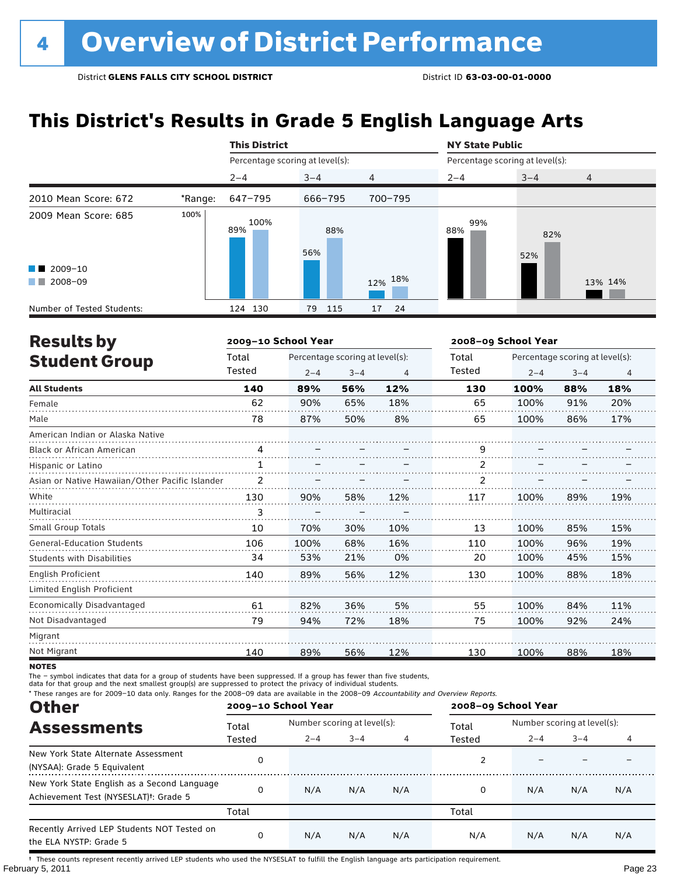# **This District's Results in Grade 5 English Language Arts**

|                            |         | <b>This District</b>            |            |                | <b>NY State Public</b><br>Percentage scoring at level(s): |            |                |  |
|----------------------------|---------|---------------------------------|------------|----------------|-----------------------------------------------------------|------------|----------------|--|
|                            |         | Percentage scoring at level(s): |            |                |                                                           |            |                |  |
|                            |         | $2 - 4$                         | $3 - 4$    | $\overline{4}$ | $2 - 4$                                                   | $3 - 4$    | $\overline{4}$ |  |
| 2010 Mean Score: 672       | *Range: | 647-795                         | 666-795    | 700-795        |                                                           |            |                |  |
| 2009 Mean Score: 685       | 100%    | 100%<br>89%                     | 88%<br>56% |                | 99%<br>88%                                                | 82%<br>52% |                |  |
| $\blacksquare$ 2009-10     |         |                                 |            |                |                                                           |            |                |  |
| 2008-09<br>a ka            |         |                                 |            | 12% 18%        |                                                           |            | 13% 14%        |  |
| Number of Tested Students: |         | 124 130                         | 115<br>79  | 24<br>17       |                                                           |            |                |  |

| <b>Results by</b>                               |              | 2009-10 School Year |                                 |     | 2008-09 School Year |                                 |         |                |  |
|-------------------------------------------------|--------------|---------------------|---------------------------------|-----|---------------------|---------------------------------|---------|----------------|--|
| <b>Student Group</b>                            | Total        |                     | Percentage scoring at level(s): |     | Total               | Percentage scoring at level(s): |         |                |  |
|                                                 | Tested       | $2 - 4$             | $3 - 4$                         | 4   | Tested              | $2 - 4$                         | $3 - 4$ | $\overline{4}$ |  |
| <b>All Students</b>                             | 140          | 89%                 | 56%                             | 12% | 130                 | 100%                            | 88%     | 18%            |  |
| Female                                          | 62           | 90%                 | 65%                             | 18% | 65                  | 100%                            | 91%     | 20%            |  |
| Male                                            | 78           | 87%                 | 50%                             | 8%  | 65                  | 100%                            | 86%     | 17%            |  |
| American Indian or Alaska Native                |              |                     |                                 |     |                     |                                 |         |                |  |
| <b>Black or African American</b>                | 4            |                     |                                 |     | 9                   |                                 |         |                |  |
| Hispanic or Latino                              | $\mathbf{1}$ |                     |                                 |     | 2                   |                                 |         |                |  |
| Asian or Native Hawaiian/Other Pacific Islander |              |                     |                                 |     | 2                   |                                 |         |                |  |
| White                                           | 130          | 90%                 | 58%                             | 12% | 117                 | 100%                            | 89%     | 19%            |  |
| Multiracial                                     | 3            |                     |                                 |     |                     |                                 |         |                |  |
| Small Group Totals                              | 10           | 70%                 | 30%                             | 10% | 13                  | 100%                            | 85%     | 15%            |  |
| <b>General-Education Students</b>               | 106          | 100%                | 68%                             | 16% | 110                 | 100%                            | 96%     | 19%            |  |
| <b>Students with Disabilities</b>               | 34           | 53%                 | 21%                             | 0%  | 20                  | 100%                            | 45%     | 15%            |  |
| <b>English Proficient</b>                       | 140          | 89%                 | 56%                             | 12% | 130                 | 100%                            | 88%     | 18%            |  |
| Limited English Proficient                      |              |                     |                                 |     |                     |                                 |         |                |  |
| Economically Disadvantaged                      | 61           | 82%                 | 36%                             | 5%  | 55                  | 100%                            | 84%     | 11%            |  |
| Not Disadvantaged                               | 79           | 94%                 | 72%                             | 18% | 75                  | 100%                            | 92%     | 24%            |  |
| Migrant                                         |              |                     |                                 |     |                     |                                 |         |                |  |
| Not Migrant                                     | 140          | 89%                 | 56%                             | 12% | 130                 | 100%                            | 88%     | 18%            |  |

**NOTES** 

The – symbol indicates that data for a group of students have been suppressed. If a group has fewer than five students,

data for that group and the next smallest group(s) are suppressed to protect the privacy of individual students.

\* These ranges are for 2009–10 data only. Ranges for the 2008–09 data are available in the 2008–09 Accountability and Overview Reports.

| <b>Other</b>                                                                                      |        | 2009-10 School Year         |         |     | 2008-09 School Year |                             |         |     |  |
|---------------------------------------------------------------------------------------------------|--------|-----------------------------|---------|-----|---------------------|-----------------------------|---------|-----|--|
| <b>Assessments</b>                                                                                | Total  | Number scoring at level(s): |         |     | Total               | Number scoring at level(s): |         |     |  |
|                                                                                                   | Tested | $2 - 4$                     | $3 - 4$ |     | Tested              | $2 - 4$                     | $3 - 4$ |     |  |
| New York State Alternate Assessment<br>(NYSAA): Grade 5 Equivalent                                |        |                             |         |     |                     |                             |         |     |  |
| New York State English as a Second Language<br>Achievement Test (NYSESLAT) <sup>+</sup> : Grade 5 |        | N/A                         | N/A     | N/A | 0                   | N/A                         | N/A     | N/A |  |
|                                                                                                   | Total  |                             |         |     | Total               |                             |         |     |  |
| Recently Arrived LEP Students NOT Tested on<br>the ELA NYSTP: Grade 5                             |        | N/A                         | N/A     | N/A | N/A                 | N/A                         | N/A     | N/A |  |

February 5, 2011 Page 23 † These counts represent recently arrived LEP students who used the NYSESLAT to fulfill the English language arts participation requirement.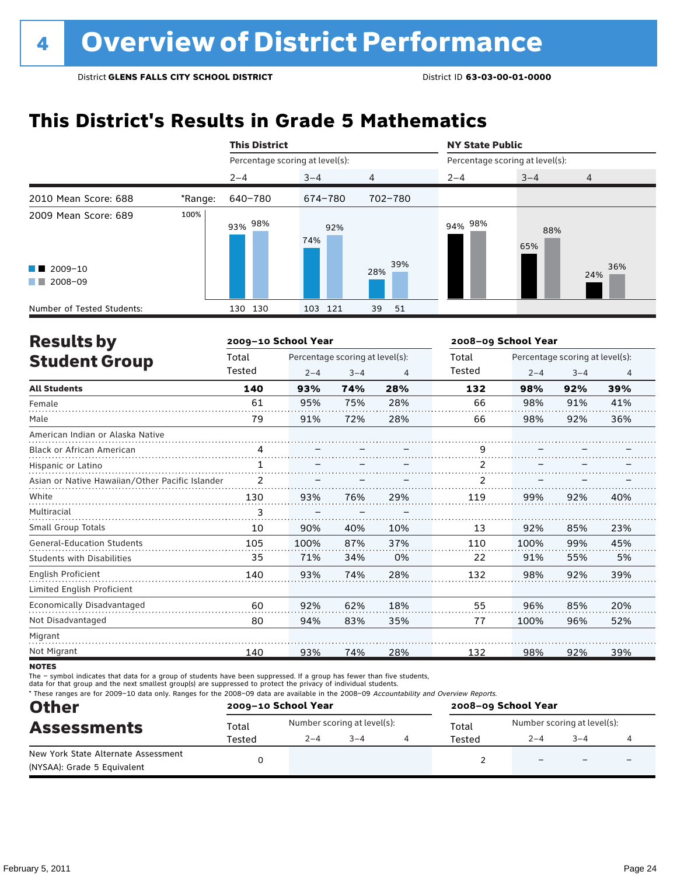# **This District's Results in Grade 5 Mathematics**

|                                                  |         | <b>This District</b>            |            |                | <b>NY State Public</b>          |            |                |  |
|--------------------------------------------------|---------|---------------------------------|------------|----------------|---------------------------------|------------|----------------|--|
|                                                  |         | Percentage scoring at level(s): |            |                | Percentage scoring at level(s): |            |                |  |
|                                                  |         | $2 - 4$                         | $3 - 4$    | $\overline{4}$ | $2 - 4$                         | $3 - 4$    | $\overline{4}$ |  |
| 2010 Mean Score: 688                             | *Range: | 640-780                         | 674-780    | 702-780        |                                 |            |                |  |
| 2009 Mean Score: 689                             | 100%    | 93% <sup>98%</sup>              | 92%<br>74% |                | 94% 98%                         | 88%<br>65% |                |  |
| $\blacksquare$ 2009-10<br>2008-09<br>a kacamatan |         |                                 |            | 39%<br>28%     |                                 |            | 36%<br>24%     |  |
| Number of Tested Students:                       |         | 130<br>130                      | 103<br>121 | 39<br>51       |                                 |            |                |  |

| <b>Results by</b>                               |              | 2009-10 School Year |                                 |     | 2008-09 School Year |                                 |         |                |  |
|-------------------------------------------------|--------------|---------------------|---------------------------------|-----|---------------------|---------------------------------|---------|----------------|--|
| <b>Student Group</b>                            | Total        |                     | Percentage scoring at level(s): |     | Total               | Percentage scoring at level(s): |         |                |  |
|                                                 | Tested       | $2 - 4$             | $3 - 4$                         | 4   | Tested              | $2 - 4$                         | $3 - 4$ | $\overline{4}$ |  |
| <b>All Students</b>                             | 140          | 93%                 | 74%                             | 28% | 132                 | 98%                             | 92%     | 39%            |  |
| Female                                          | 61           | 95%                 | 75%                             | 28% | 66                  | 98%                             | 91%     | 41%            |  |
| Male                                            | 79           | 91%                 | 72%                             | 28% | 66                  | 98%                             | 92%     | 36%            |  |
| American Indian or Alaska Native                |              |                     |                                 |     |                     |                                 |         |                |  |
| <b>Black or African American</b>                | 4            |                     |                                 |     | 9                   |                                 |         |                |  |
| Hispanic or Latino                              | $\mathbf{1}$ |                     |                                 |     | 2                   |                                 |         |                |  |
| Asian or Native Hawaiian/Other Pacific Islander | 2            |                     |                                 |     | 2                   |                                 |         |                |  |
| White                                           | 130          | 93%                 | 76%                             | 29% | 119                 | 99%                             | 92%     | 40%            |  |
| Multiracial                                     | 3            |                     |                                 |     |                     |                                 |         |                |  |
| Small Group Totals                              | 10           | 90%                 | 40%                             | 10% | 13                  | 92%                             | 85%     | 23%            |  |
| <b>General-Education Students</b>               | 105          | 100%                | 87%                             | 37% | 110                 | 100%                            | 99%     | 45%            |  |
| <b>Students with Disabilities</b>               | 35           | 71%                 | 34%                             | 0%  | 22                  | 91%                             | 55%     | 5%             |  |
| <b>English Proficient</b>                       | 140          | 93%                 | 74%                             | 28% | 132                 | 98%                             | 92%     | 39%            |  |
| Limited English Proficient                      |              |                     |                                 |     |                     |                                 |         |                |  |
| Economically Disadvantaged                      | 60           | 92%                 | 62%                             | 18% | 55                  | 96%                             | 85%     | 20%            |  |
| Not Disadvantaged                               | 80           | 94%                 | 83%                             | 35% | 77                  | 100%                            | 96%     | 52%            |  |
| Migrant                                         |              |                     |                                 |     |                     |                                 |         |                |  |
| Not Migrant                                     | 140          | 93%                 | 74%                             | 28% | 132                 | 98%                             | 92%     | 39%            |  |

**NOTES** 

The – symbol indicates that data for a group of students have been suppressed. If a group has fewer than five students,

data for that group and the next smallest group(s) are suppressed to protect the privacy of individual students.

\* These ranges are for 2009–10 data only. Ranges for the 2008–09 data are available in the 2008–09 Accountability and Overview Reports.

| <b>Other</b>                                                       |        | 2009-10 School Year |                             | 2008-09 School Year |                             |        |  |  |
|--------------------------------------------------------------------|--------|---------------------|-----------------------------|---------------------|-----------------------------|--------|--|--|
| <b>Assessments</b>                                                 | Total  |                     | Number scoring at level(s): | Total               | Number scoring at level(s): |        |  |  |
|                                                                    | Tested | $2 - 4$             | $3 - 4$                     | Tested              | $2 - 4$                     | $-3-4$ |  |  |
| New York State Alternate Assessment<br>(NYSAA): Grade 5 Equivalent |        |                     |                             |                     | $\overline{\phantom{0}}$    |        |  |  |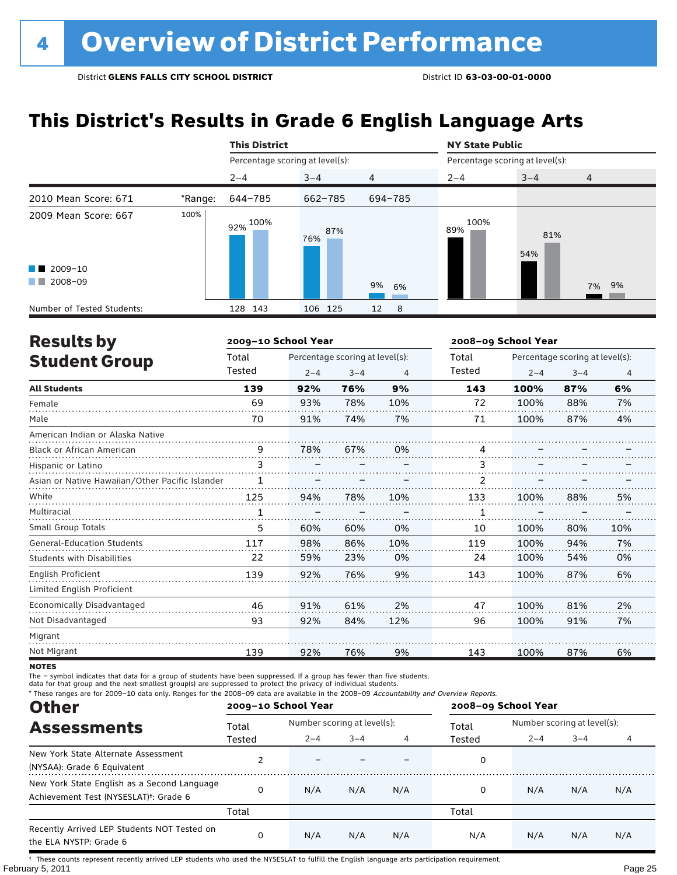# **This District's Results in Grade 6 English Language Arts**

|                                                |         | <b>This District</b>            |            |                  | <b>NY State Public</b>          |            |                |  |
|------------------------------------------------|---------|---------------------------------|------------|------------------|---------------------------------|------------|----------------|--|
|                                                |         | Percentage scoring at level(s): |            |                  | Percentage scoring at level(s): |            |                |  |
|                                                |         | $2 - 4$                         | $3 - 4$    | $\overline{4}$   | $2 - 4$                         | $3 - 4$    | $\overline{4}$ |  |
| 2010 Mean Score: 671                           | *Range: | 644-785                         | 662-785    | 694-785          |                                 |            |                |  |
| 2009 Mean Score: 667<br>$\blacksquare$ 2009-10 | 100%    | 92% 100%                        | 87%<br>76% |                  | 100%<br>89%                     | 81%<br>54% |                |  |
| 2008-09<br>. .                                 |         |                                 |            | 9%<br>6%         |                                 |            | 7% 9%          |  |
| Number of Tested Students:                     |         | 128 143                         | 106 125    | 12<br>$_{\rm 8}$ |                                 |            |                |  |

| <b>Results by</b>                               |        | 2009-10 School Year |                                 |     |        | 2008-09 School Year             |         |     |  |
|-------------------------------------------------|--------|---------------------|---------------------------------|-----|--------|---------------------------------|---------|-----|--|
| <b>Student Group</b>                            | Total  |                     | Percentage scoring at level(s): |     | Total  | Percentage scoring at level(s): |         |     |  |
|                                                 | Tested | $2 - 4$             | $3 - 4$                         | 4   | Tested | $2 - 4$                         | $3 - 4$ | 4   |  |
| <b>All Students</b>                             | 139    | 92%                 | 76%                             | 9%  | 143    | 100%                            | 87%     | 6%  |  |
| Female                                          | 69     | 93%                 | 78%                             | 10% | 72     | 100%                            | 88%     | 7%  |  |
| Male                                            | 70     | 91%                 | 74%                             | 7%  | 71     | 100%                            | 87%     | 4%  |  |
| American Indian or Alaska Native                |        |                     |                                 |     |        |                                 |         |     |  |
| Black or African American                       | 9      | 78%                 | 67%                             | 0%  | 4      |                                 |         |     |  |
| Hispanic or Latino                              | 3      |                     |                                 |     | 3      |                                 |         |     |  |
| Asian or Native Hawaiian/Other Pacific Islander | 1      |                     |                                 |     | 2      |                                 |         |     |  |
| White                                           | 125    | 94%                 | 78%                             | 10% | 133    | 100%                            | 88%     | 5%  |  |
| Multiracial                                     |        |                     |                                 |     | 1      |                                 |         |     |  |
| Small Group Totals                              | 5      | 60%                 | 60%                             | 0%  | 10     | 100%                            | 80%     | 10% |  |
| <b>General-Education Students</b>               | 117    | 98%                 | 86%                             | 10% | 119    | 100%                            | 94%     | 7%  |  |
| <b>Students with Disabilities</b>               | 22     | 59%                 | 23%                             | 0%  | 24     | 100%                            | 54%     | 0%  |  |
| English Proficient                              | 139    | 92%                 | 76%                             | 9%  | 143    | 100%                            | 87%     | 6%  |  |
| Limited English Proficient                      |        |                     |                                 |     |        |                                 |         |     |  |
| <b>Economically Disadvantaged</b>               | 46     | 91%                 | 61%                             | 2%  | 47     | 100%                            | 81%     | 2%  |  |
| Not Disadvantaged                               | 93     | 92%                 | 84%                             | 12% | 96     | 100%                            | 91%     | 7%  |  |
| Migrant                                         |        |                     |                                 |     |        |                                 |         |     |  |
| Not Migrant                                     | 139    | 92%                 | 76%                             | 9%  | 143    | 100%                            | 87%     | 6%  |  |

**NOTES** 

The – symbol indicates that data for a group of students have been suppressed. If a group has fewer than five students,

data for that group and the next smallest group(s) are suppressed to protect the privacy of individual students.

\* These ranges are for 2009–10 data only. Ranges for the 2008–09 data are available in the 2008–09 Accountability and Overview Reports.

| <b>Other</b>                                                                                      |        | 2009-10 School Year |                             |     | 2008-09 School Year |                             |         |     |
|---------------------------------------------------------------------------------------------------|--------|---------------------|-----------------------------|-----|---------------------|-----------------------------|---------|-----|
| <b>Assessments</b>                                                                                | Total  |                     | Number scoring at level(s): |     |                     | Number scoring at level(s): |         |     |
|                                                                                                   | Tested | $2 - 4$             | $3 - 4$                     |     | Tested              | $2 - 4$                     | $3 - 4$ |     |
| New York State Alternate Assessment<br>(NYSAA): Grade 6 Equivalent                                |        |                     |                             |     | 0                   |                             |         |     |
| New York State English as a Second Language<br>Achievement Test (NYSESLAT) <sup>†</sup> : Grade 6 |        | N/A                 | N/A                         | N/A | 0                   | N/A                         | N/A     | N/A |
|                                                                                                   | Total  |                     |                             |     | Total               |                             |         |     |
| Recently Arrived LEP Students NOT Tested on<br>the ELA NYSTP: Grade 6                             |        | N/A                 | N/A                         | N/A | N/A                 | N/A                         | N/A     | N/A |

February 5, 2011 Page 25 † These counts represent recently arrived LEP students who used the NYSESLAT to fulfill the English language arts participation requirement.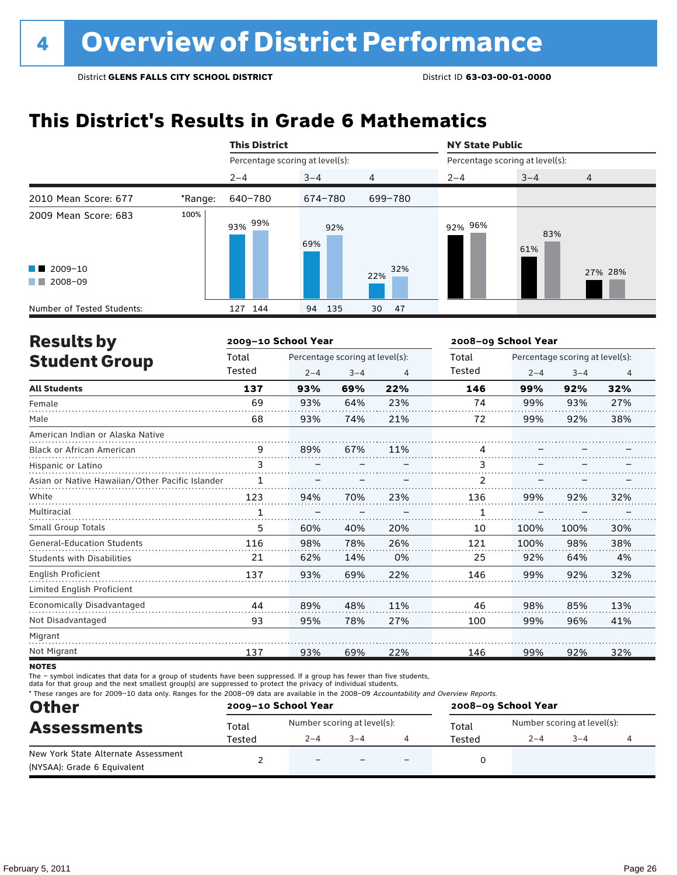# **This District's Results in Grade 6 Mathematics**

|                                                                                                                                                                                                                                                 |         | <b>This District</b>            |            |                | <b>NY State Public</b>          |            |                |  |
|-------------------------------------------------------------------------------------------------------------------------------------------------------------------------------------------------------------------------------------------------|---------|---------------------------------|------------|----------------|---------------------------------|------------|----------------|--|
|                                                                                                                                                                                                                                                 |         | Percentage scoring at level(s): |            |                | Percentage scoring at level(s): |            |                |  |
|                                                                                                                                                                                                                                                 |         | $2 - 4$                         | $3 - 4$    | $\overline{4}$ | $2 - 4$                         | $3 - 4$    | $\overline{4}$ |  |
| 2010 Mean Score: 677                                                                                                                                                                                                                            | *Range: | 640-780                         | 674-780    | 699-780        |                                 |            |                |  |
| 2009 Mean Score: 683                                                                                                                                                                                                                            | 100%    | 99%<br>93%                      | 92%<br>69% |                | 92% 96%                         | 83%<br>61% |                |  |
| $\blacksquare$ 2009-10                                                                                                                                                                                                                          |         |                                 |            | 32%<br>22%     |                                 |            | 27% 28%        |  |
| 2008-09<br><b>The Contract of the Contract of the Contract of the Contract of the Contract of the Contract of the Contract of the Contract of the Contract of the Contract of the Contract of the Contract of The Contract of The Contract </b> |         |                                 |            |                |                                 |            |                |  |
| Number of Tested Students:                                                                                                                                                                                                                      |         | 144<br>127                      | 94<br>135  | 30<br>47       |                                 |            |                |  |

| <b>Results by</b>                               |        | 2009-10 School Year |                                 |     | 2008-09 School Year |         |                                 |     |  |
|-------------------------------------------------|--------|---------------------|---------------------------------|-----|---------------------|---------|---------------------------------|-----|--|
| <b>Student Group</b>                            | Total  |                     | Percentage scoring at level(s): |     | Total               |         | Percentage scoring at level(s): |     |  |
|                                                 | Tested | $2 - 4$             | $3 - 4$                         | 4   | Tested              | $2 - 4$ | $3 - 4$                         | 4   |  |
| <b>All Students</b>                             | 137    | 93%                 | 69%                             | 22% | 146                 | 99%     | 92%                             | 32% |  |
| Female                                          | 69     | 93%                 | 64%                             | 23% | 74                  | 99%     | 93%                             | 27% |  |
| Male                                            | 68     | 93%                 | 74%                             | 21% | 72                  | 99%     | 92%                             | 38% |  |
| American Indian or Alaska Native                |        |                     |                                 |     |                     |         |                                 |     |  |
| <b>Black or African American</b>                | 9      | 89%                 | 67%                             | 11% | 4                   |         |                                 |     |  |
| Hispanic or Latino                              | 3      |                     |                                 |     | 3                   |         |                                 |     |  |
| Asian or Native Hawaiian/Other Pacific Islander |        |                     |                                 |     | 2                   |         |                                 |     |  |
| White                                           | 123    | 94%                 | 70%                             | 23% | 136                 | 99%     | 92%                             | 32% |  |
| Multiracial                                     | 1      |                     |                                 |     | 1                   |         |                                 |     |  |
| <b>Small Group Totals</b>                       | 5      | 60%                 | 40%                             | 20% | 10                  | 100%    | 100%                            | 30% |  |
| <b>General-Education Students</b>               | 116    | 98%                 | 78%                             | 26% | 121                 | 100%    | 98%                             | 38% |  |
| <b>Students with Disabilities</b>               | 21     | 62%                 | 14%                             | 0%  | 25                  | 92%     | 64%                             | 4%  |  |
| <b>English Proficient</b>                       | 137    | 93%                 | 69%                             | 22% | 146                 | 99%     | 92%                             | 32% |  |
| Limited English Proficient                      |        |                     |                                 |     |                     |         |                                 |     |  |
| Economically Disadvantaged                      | 44     | 89%                 | 48%                             | 11% | 46                  | 98%     | 85%                             | 13% |  |
| Not Disadvantaged                               | 93     | 95%                 | 78%                             | 27% | 100                 | 99%     | 96%                             | 41% |  |
| Migrant                                         |        |                     |                                 |     |                     |         |                                 |     |  |
| Not Migrant                                     | 137    | 93%                 | 69%                             | 22% | 146                 | 99%     | 92%                             | 32% |  |

**NOTES** 

The – symbol indicates that data for a group of students have been suppressed. If a group has fewer than five students,

data for that group and the next smallest group(s) are suppressed to protect the privacy of individual students.

\* These ranges are for 2009–10 data only. Ranges for the 2008–09 data are available in the 2008–09 Accountability and Overview Reports.

| <b>Other</b>                        | 2009-10 School Year |                             |         |                          | 2008-09 School Year |                             |         |  |  |
|-------------------------------------|---------------------|-----------------------------|---------|--------------------------|---------------------|-----------------------------|---------|--|--|
| <b>Assessments</b>                  | Total               | Number scoring at level(s): |         |                          | Total               | Number scoring at level(s): |         |  |  |
|                                     | Tested              | $2 - 4$                     | $3 - 4$ |                          | Tested              | $2 - 4$                     | $3 - 4$ |  |  |
| New York State Alternate Assessment |                     | $\overline{\phantom{0}}$    |         | $\overline{\phantom{0}}$ |                     |                             |         |  |  |
| (NYSAA): Grade 6 Equivalent         |                     |                             |         |                          |                     |                             |         |  |  |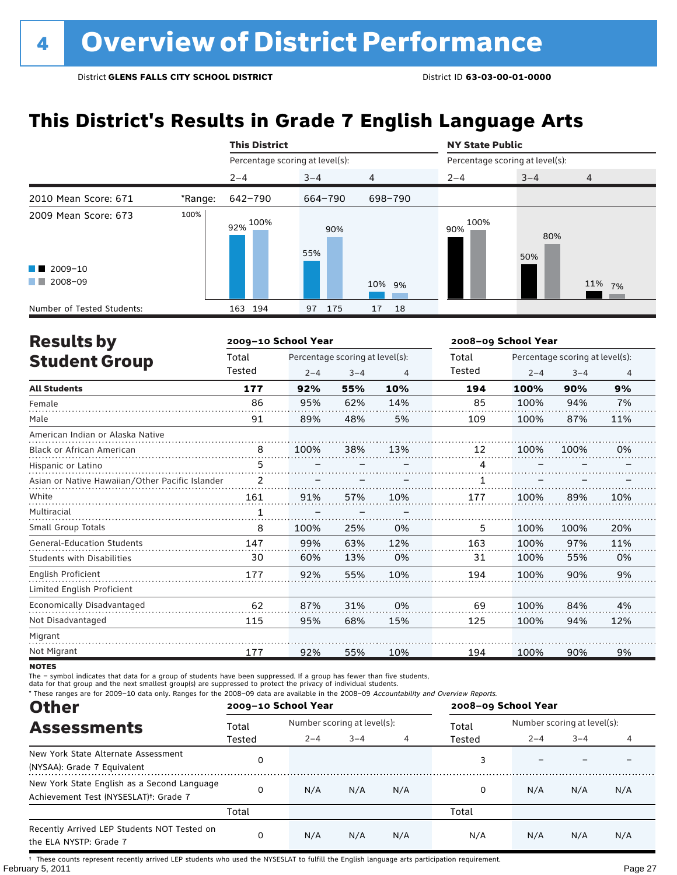# **This District's Results in Grade 7 English Language Arts**

|                                                |         | <b>This District</b>            |            |                |                                 | <b>NY State Public</b> |                |  |  |
|------------------------------------------------|---------|---------------------------------|------------|----------------|---------------------------------|------------------------|----------------|--|--|
|                                                |         | Percentage scoring at level(s): |            |                | Percentage scoring at level(s): |                        |                |  |  |
|                                                |         | $2 - 4$                         | $3 - 4$    | $\overline{4}$ | $2 - 4$                         | $3 - 4$                | $\overline{4}$ |  |  |
| 2010 Mean Score: 671                           | *Range: | 642-790                         | 664-790    | 698-790        |                                 |                        |                |  |  |
| 2009 Mean Score: 673<br>$\blacksquare$ 2009-10 | 100%    | 92% 100%                        | 90%<br>55% |                | 100%<br>90%                     | 80%<br>50%             |                |  |  |
| 2008-09<br>a ka                                |         |                                 |            | 10% 9%         |                                 |                        | 11% 7%         |  |  |
| Number of Tested Students:                     |         | 194<br>163                      | 97<br>175  | 17<br>18       |                                 |                        |                |  |  |

| <b>Results by</b>                               |        | 2009-10 School Year |                                 |     | 2008-09 School Year |         |                                 |                |
|-------------------------------------------------|--------|---------------------|---------------------------------|-----|---------------------|---------|---------------------------------|----------------|
| <b>Student Group</b>                            | Total  |                     | Percentage scoring at level(s): |     | Total               |         | Percentage scoring at level(s): |                |
|                                                 | Tested | $2 - 4$             | $3 - 4$                         | 4   | Tested              | $2 - 4$ | $3 - 4$                         | $\overline{4}$ |
| <b>All Students</b>                             | 177    | 92%                 | 55%                             | 10% | 194                 | 100%    | 90%                             | 9%             |
| Female                                          | 86     | 95%                 | 62%                             | 14% | 85                  | 100%    | 94%                             | 7%             |
| Male                                            | 91     | 89%                 | 48%                             | 5%  | 109                 | 100%    | 87%                             | 11%            |
| American Indian or Alaska Native                |        |                     |                                 |     |                     |         |                                 |                |
| <b>Black or African American</b>                | 8      | 100%                | 38%                             | 13% | 12                  | 100%    | 100%                            | 0%             |
| Hispanic or Latino                              | 5      |                     |                                 |     | 4                   |         |                                 |                |
| Asian or Native Hawaiian/Other Pacific Islander | 2      |                     |                                 |     |                     |         |                                 |                |
| White                                           | 161    | 91%                 | 57%                             | 10% | 177                 | 100%    | 89%                             | 10%            |
| Multiracial                                     |        |                     |                                 |     |                     |         |                                 |                |
| <b>Small Group Totals</b>                       | 8      | 100%                | 25%                             | 0%  | 5                   | 100%    | 100%                            | 20%            |
| <b>General-Education Students</b>               | 147    | 99%                 | 63%                             | 12% | 163                 | 100%    | 97%                             | 11%            |
| <b>Students with Disabilities</b>               | 30     | 60%                 | 13%                             | 0%  | 31                  | 100%    | 55%                             | 0%             |
| <b>English Proficient</b>                       | 177    | 92%                 | 55%                             | 10% | 194                 | 100%    | 90%                             | 9%             |
| Limited English Proficient                      |        |                     |                                 |     |                     |         |                                 |                |
| Economically Disadvantaged                      | 62     | 87%                 | 31%                             | 0%  | 69                  | 100%    | 84%                             | 4%             |
| Not Disadvantaged                               | 115    | 95%                 | 68%                             | 15% | 125                 | 100%    | 94%                             | 12%            |
| Migrant                                         |        |                     |                                 |     |                     |         |                                 |                |
| Not Migrant                                     | 177    | 92%                 | 55%                             | 10% | 194                 | 100%    | 90%                             | 9%             |

**NOTES** 

The – symbol indicates that data for a group of students have been suppressed. If a group has fewer than five students,

data for that group and the next smallest group(s) are suppressed to protect the privacy of individual students.

\* These ranges are for 2009–10 data only. Ranges for the 2008–09 data are available in the 2008–09 Accountability and Overview Reports.

| <b>Other</b>                                                                                      |          | 2009-10 School Year         |         |     | 2008-09 School Year |                             |         |     |
|---------------------------------------------------------------------------------------------------|----------|-----------------------------|---------|-----|---------------------|-----------------------------|---------|-----|
| <b>Assessments</b>                                                                                | Total    | Number scoring at level(s): |         |     | Total               | Number scoring at level(s): |         |     |
|                                                                                                   | Tested   | $2 - 4$                     | $3 - 4$ |     | Tested              | $2 - 4$                     | $3 - 4$ | 4   |
| New York State Alternate Assessment<br>(NYSAA): Grade 7 Equivalent                                | 0        |                             |         |     |                     |                             |         |     |
| New York State English as a Second Language<br>Achievement Test (NYSESLAT) <sup>+</sup> : Grade 7 | $\Omega$ | N/A                         | N/A     | N/A | 0                   | N/A                         | N/A     | N/A |
|                                                                                                   | Total    |                             |         |     | Total               |                             |         |     |
| Recently Arrived LEP Students NOT Tested on<br>the ELA NYSTP: Grade 7                             | 0        | N/A                         | N/A     | N/A | N/A                 | N/A                         | N/A     | N/A |

February 5, 2011 Page 27 † These counts represent recently arrived LEP students who used the NYSESLAT to fulfill the English language arts participation requirement.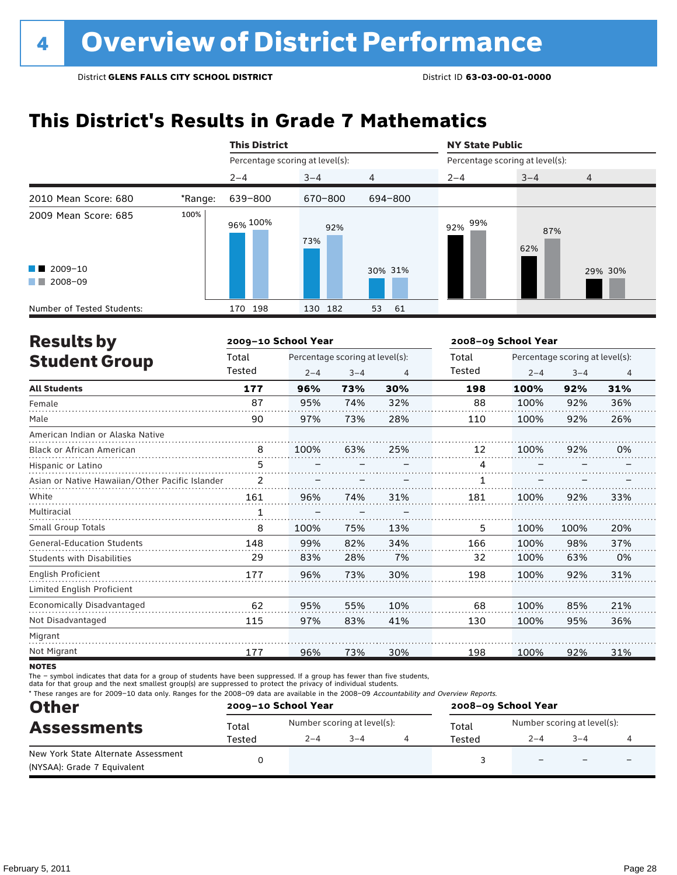# **This District's Results in Grade 7 Mathematics**

|                                                                                                                                                                                                                                                 |         | <b>This District</b>            |            |                |                                 | <b>NY State Public</b> |                |  |  |
|-------------------------------------------------------------------------------------------------------------------------------------------------------------------------------------------------------------------------------------------------|---------|---------------------------------|------------|----------------|---------------------------------|------------------------|----------------|--|--|
|                                                                                                                                                                                                                                                 |         | Percentage scoring at level(s): |            |                | Percentage scoring at level(s): |                        |                |  |  |
|                                                                                                                                                                                                                                                 |         | $2 - 4$                         | $3 - 4$    | $\overline{4}$ | $2 - 4$                         | $3 - 4$                | $\overline{4}$ |  |  |
| 2010 Mean Score: 680                                                                                                                                                                                                                            | *Range: | 639-800                         | 670-800    | 694-800        |                                 |                        |                |  |  |
| 2009 Mean Score: 685                                                                                                                                                                                                                            | 100%    | 96% <sup>100%</sup>             | 92%<br>73% |                | 99%<br>92%                      | 87%<br>62%             |                |  |  |
| $\blacksquare$ 2009-10                                                                                                                                                                                                                          |         |                                 |            | 30% 31%        |                                 |                        | 29% 30%        |  |  |
| 2008-09<br><b>The Contract of the Contract of the Contract of the Contract of the Contract of the Contract of the Contract of the Contract of the Contract of the Contract of the Contract of the Contract of The Contract of The Contract </b> |         |                                 |            |                |                                 |                        |                |  |  |
| Number of Tested Students:                                                                                                                                                                                                                      |         | 198<br>170                      | 130 182    | 61<br>53       |                                 |                        |                |  |  |

| <b>Results by</b>                               |        | 2009-10 School Year |                                 |     | 2008-09 School Year |         |                                 |     |
|-------------------------------------------------|--------|---------------------|---------------------------------|-----|---------------------|---------|---------------------------------|-----|
| <b>Student Group</b>                            | Total  |                     | Percentage scoring at level(s): |     | Total               |         | Percentage scoring at level(s): |     |
|                                                 | Tested | $2 - 4$             | $3 - 4$                         | 4   | Tested              | $2 - 4$ | $3 - 4$                         | 4   |
| <b>All Students</b>                             | 177    | 96%                 | 73%                             | 30% | 198                 | 100%    | 92%                             | 31% |
| Female                                          | 87     | 95%                 | 74%                             | 32% | 88                  | 100%    | 92%                             | 36% |
| Male                                            | 90     | 97%                 | 73%                             | 28% | 110                 | 100%    | 92%                             | 26% |
| American Indian or Alaska Native                |        |                     |                                 |     |                     |         |                                 |     |
| <b>Black or African American</b>                | 8      | 100%                | 63%                             | 25% | 12                  | 100%    | 92%                             | 0%  |
| Hispanic or Latino                              | 5      |                     |                                 |     | 4                   |         |                                 |     |
| Asian or Native Hawaiian/Other Pacific Islander | 2      |                     |                                 |     |                     |         |                                 |     |
| White                                           | 161    | 96%                 | 74%                             | 31% | 181                 | 100%    | 92%                             | 33% |
| Multiracial                                     | 1      |                     |                                 |     |                     |         |                                 |     |
| <b>Small Group Totals</b>                       | 8      | 100%                | 75%                             | 13% | 5                   | 100%    | 100%                            | 20% |
| <b>General-Education Students</b>               | 148    | 99%                 | 82%                             | 34% | 166                 | 100%    | 98%                             | 37% |
| <b>Students with Disabilities</b>               | 29     | 83%                 | 28%                             | 7%  | 32                  | 100%    | 63%                             | 0%  |
| <b>English Proficient</b>                       | 177    | 96%                 | 73%                             | 30% | 198                 | 100%    | 92%                             | 31% |
| Limited English Proficient                      |        |                     |                                 |     |                     |         |                                 |     |
| Economically Disadvantaged                      | 62     | 95%                 | 55%                             | 10% | 68                  | 100%    | 85%                             | 21% |
| Not Disadvantaged                               | 115    | 97%                 | 83%                             | 41% | 130                 | 100%    | 95%                             | 36% |
| Migrant                                         |        |                     |                                 |     |                     |         |                                 |     |
| Not Migrant                                     | 177    | 96%                 | 73%                             | 30% | 198                 | 100%    | 92%                             | 31% |

**NOTES** 

The – symbol indicates that data for a group of students have been suppressed. If a group has fewer than five students,

data for that group and the next smallest group(s) are suppressed to protect the privacy of individual students.

\* These ranges are for 2009–10 data only. Ranges for the 2008–09 data are available in the 2008–09 Accountability and Overview Reports.

| <b>Other</b>                                                       |        | 2009-10 School Year |                             | 2008-09 School Year |                             |        |  |  |
|--------------------------------------------------------------------|--------|---------------------|-----------------------------|---------------------|-----------------------------|--------|--|--|
| <b>Assessments</b>                                                 | Total  |                     | Number scoring at level(s): | Total               | Number scoring at level(s): |        |  |  |
|                                                                    | Tested | $2 - 4$             | $3 - 4$                     | Tested              | $2 - 4$                     | $-3-4$ |  |  |
| New York State Alternate Assessment<br>(NYSAA): Grade 7 Equivalent |        |                     |                             |                     | $\overline{\phantom{0}}$    |        |  |  |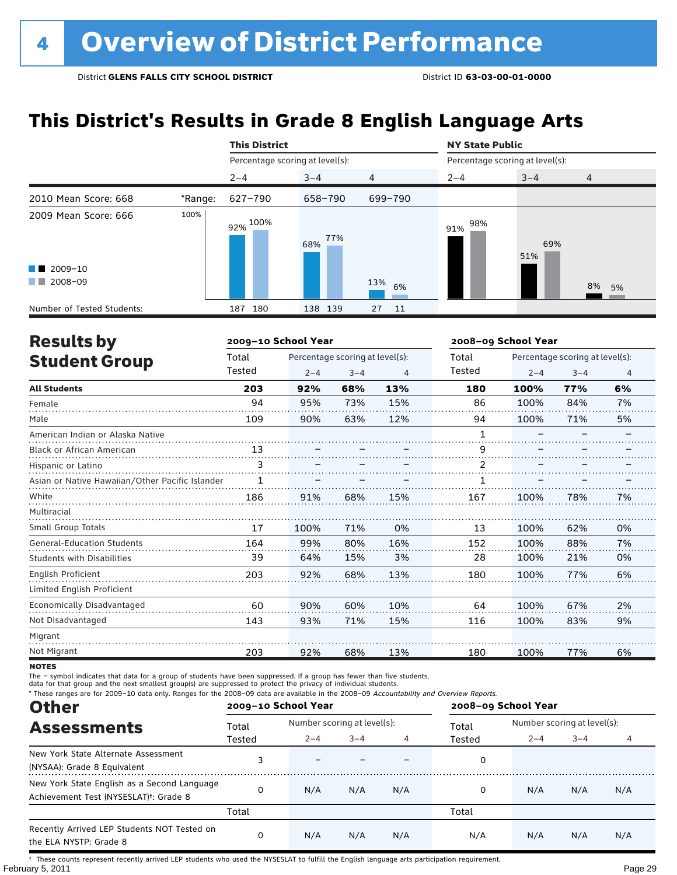# **This District's Results in Grade 8 English Language Arts**

|                                                |         | <b>This District</b>            |            |                | <b>NY State Public</b>          |            |                |
|------------------------------------------------|---------|---------------------------------|------------|----------------|---------------------------------|------------|----------------|
|                                                |         | Percentage scoring at level(s): |            |                | Percentage scoring at level(s): |            |                |
|                                                |         | $2 - 4$                         | $3 - 4$    | $\overline{4}$ | $2 - 4$                         | $3 - 4$    | $\overline{4}$ |
| 2010 Mean Score: 668                           | *Range: | 627-790                         | 658-790    | 699-790        |                                 |            |                |
| 2009 Mean Score: 666<br>$\blacksquare$ 2009-10 | 100%    | 92% 100%                        | 77%<br>68% |                | 98%<br>91%                      | 69%<br>51% |                |
| 2008-09<br>a ka                                |         |                                 |            | 13%<br>6%      |                                 |            | 8% 5%          |
| Number of Tested Students:                     |         | 180<br>187                      | 138 139    | 27<br>11       |                                 |            |                |

| <b>Results by</b>                               |        | 2009-10 School Year |                                 |     | 2008-09 School Year |         |                                 |    |  |
|-------------------------------------------------|--------|---------------------|---------------------------------|-----|---------------------|---------|---------------------------------|----|--|
| <b>Student Group</b>                            | Total  |                     | Percentage scoring at level(s): |     | Total               |         | Percentage scoring at level(s): |    |  |
|                                                 | Tested | $2 - 4$             | $3 - 4$                         | 4   | <b>Tested</b>       | $2 - 4$ | $3 - 4$                         | 4  |  |
| <b>All Students</b>                             | 203    | 92%                 | 68%                             | 13% | 180                 | 100%    | 77%                             | 6% |  |
| Female                                          | 94     | 95%                 | 73%                             | 15% | 86                  | 100%    | 84%                             | 7% |  |
| Male                                            | 109    | 90%                 | 63%                             | 12% | 94                  | 100%    | 71%                             | 5% |  |
| American Indian or Alaska Native                |        |                     |                                 |     |                     |         |                                 |    |  |
| Black or African American                       | 13     |                     |                                 |     | 9                   |         |                                 |    |  |
| Hispanic or Latino                              | 3      |                     |                                 |     | 2                   |         |                                 |    |  |
| Asian or Native Hawaiian/Other Pacific Islander |        |                     |                                 |     |                     |         |                                 |    |  |
| White                                           | 186    | 91%                 | 68%                             | 15% | 167                 | 100%    | 78%                             | 7% |  |
| Multiracial                                     |        |                     |                                 |     |                     |         |                                 |    |  |
| <b>Small Group Totals</b>                       | 17     | 100%                | 71%                             | 0%  | 13                  | 100%    | 62%                             | 0% |  |
| <b>General-Education Students</b>               | 164    | 99%                 | 80%                             | 16% | 152                 | 100%    | 88%                             | 7% |  |
| <b>Students with Disabilities</b>               | 39     | 64%                 | 15%                             | 3%  | 28                  | 100%    | 21%                             | 0% |  |
| <b>English Proficient</b>                       | 203    | 92%                 | 68%                             | 13% | 180                 | 100%    | 77%                             | 6% |  |
| Limited English Proficient                      |        |                     |                                 |     |                     |         |                                 |    |  |
| Economically Disadvantaged                      | 60     | 90%                 | 60%                             | 10% | 64                  | 100%    | 67%                             | 2% |  |
| Not Disadvantaged                               | 143    | 93%                 | 71%                             | 15% | 116                 | 100%    | 83%                             | 9% |  |
| Migrant                                         |        |                     |                                 |     |                     |         |                                 |    |  |
| Not Migrant                                     | 203    | 92%                 | 68%                             | 13% | 180                 | 100%    | 77%                             | 6% |  |

**NOTES** 

The – symbol indicates that data for a group of students have been suppressed. If a group has fewer than five students,

data for that group and the next smallest group(s) are suppressed to protect the privacy of individual students.

\* These ranges are for 2009–10 data only. Ranges for the 2008–09 data are available in the 2008–09 Accountability and Overview Reports.

| <b>Other</b>                                                                                      |        | 2009-10 School Year |                             |     | 2008-09 School Year |                             |         |     |  |
|---------------------------------------------------------------------------------------------------|--------|---------------------|-----------------------------|-----|---------------------|-----------------------------|---------|-----|--|
| <b>Assessments</b>                                                                                | Total  |                     | Number scoring at level(s): |     |                     | Number scoring at level(s): |         |     |  |
|                                                                                                   | Tested | $2 - 4$             | $3 - 4$                     |     | Tested              | $2 - 4$                     | $3 - 4$ |     |  |
| New York State Alternate Assessment<br>(NYSAA): Grade 8 Equivalent                                |        |                     |                             |     | 0                   |                             |         |     |  |
| New York State English as a Second Language<br>Achievement Test (NYSESLAT) <sup>†</sup> : Grade 8 |        | N/A                 | N/A                         | N/A | 0                   | N/A                         | N/A     | N/A |  |
|                                                                                                   | Total  |                     |                             |     | Total               |                             |         |     |  |
| Recently Arrived LEP Students NOT Tested on<br>the ELA NYSTP: Grade 8                             |        | N/A                 | N/A                         | N/A | N/A                 | N/A                         | N/A     | N/A |  |

February 5, 2011 Page 29 † These counts represent recently arrived LEP students who used the NYSESLAT to fulfill the English language arts participation requirement.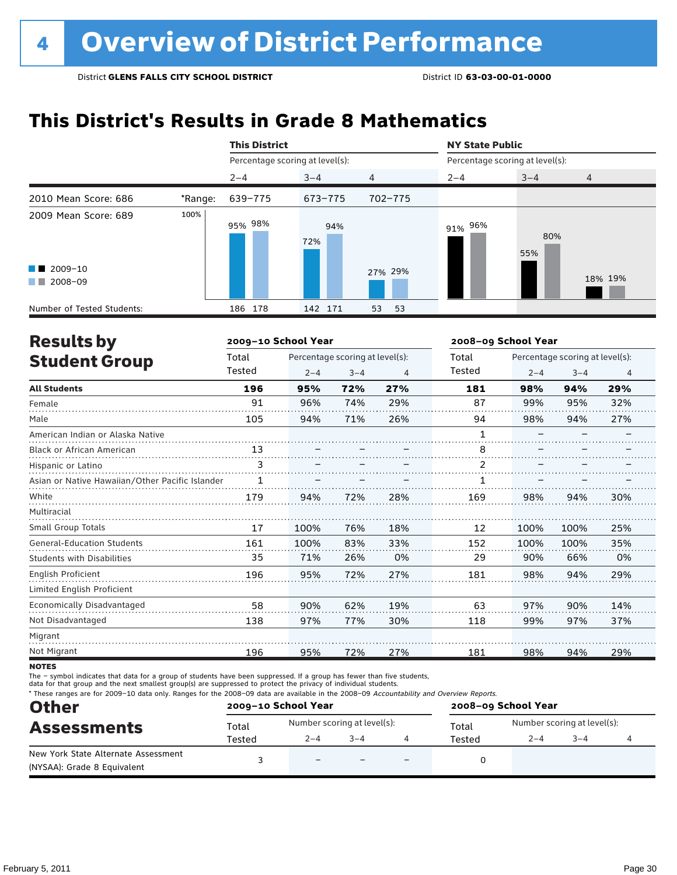# **This District's Results in Grade 8 Mathematics**

|                                                                                                                                                                                                                                                 |         | <b>This District</b>            |            |                | <b>NY State Public</b><br>Percentage scoring at level(s): |            |                |  |
|-------------------------------------------------------------------------------------------------------------------------------------------------------------------------------------------------------------------------------------------------|---------|---------------------------------|------------|----------------|-----------------------------------------------------------|------------|----------------|--|
|                                                                                                                                                                                                                                                 |         | Percentage scoring at level(s): |            |                |                                                           |            |                |  |
|                                                                                                                                                                                                                                                 |         | $2 - 4$                         | $3 - 4$    | $\overline{4}$ | $2 - 4$                                                   | $3 - 4$    | $\overline{4}$ |  |
| 2010 Mean Score: 686                                                                                                                                                                                                                            | *Range: | 639-775                         | 673-775    | 702-775        |                                                           |            |                |  |
| 2009 Mean Score: 689                                                                                                                                                                                                                            | 100%    | 95% 98%                         | 94%<br>72% |                | 91% 96%                                                   | 80%<br>55% |                |  |
| $\blacksquare$ 2009-10                                                                                                                                                                                                                          |         |                                 |            | 27% 29%        |                                                           |            |                |  |
| 2008-09<br><b>The Contract of the Contract of the Contract of the Contract of the Contract of the Contract of the Contract of the Contract of the Contract of the Contract of the Contract of the Contract of The Contract of The Contract </b> |         |                                 |            |                |                                                           |            | 18% 19%        |  |
| Number of Tested Students:                                                                                                                                                                                                                      |         | 186 178                         | 142 171    | 53<br>53       |                                                           |            |                |  |

| <b>Results by</b>                               |        | 2009-10 School Year |                                 |     | 2008-09 School Year |                                 |         |     |
|-------------------------------------------------|--------|---------------------|---------------------------------|-----|---------------------|---------------------------------|---------|-----|
| <b>Student Group</b>                            | Total  |                     | Percentage scoring at level(s): |     |                     | Percentage scoring at level(s): |         |     |
|                                                 | Tested | $2 - 4$             | $3 - 4$                         | 4   | Tested              | $2 - 4$                         | $3 - 4$ | 4   |
| <b>All Students</b>                             | 196    | 95%                 | 72%                             | 27% | 181                 | 98%                             | 94%     | 29% |
| Female                                          | 91     | 96%                 | 74%                             | 29% | 87                  | 99%                             | 95%     | 32% |
| Male                                            | 105    | 94%                 | 71%                             | 26% | 94                  | 98%                             | 94%     | 27% |
| American Indian or Alaska Native                |        |                     |                                 |     |                     |                                 |         |     |
| Black or African American                       | 13     |                     |                                 |     | 8                   |                                 |         |     |
| Hispanic or Latino                              | 3      |                     |                                 |     | 2                   |                                 |         |     |
| Asian or Native Hawaiian/Other Pacific Islander | 1      |                     |                                 |     |                     |                                 |         |     |
| White                                           | 179    | 94%                 | 72%                             | 28% | 169                 | 98%                             | 94%     | 30% |
| Multiracial                                     |        |                     |                                 |     |                     |                                 |         |     |
| <b>Small Group Totals</b>                       | 17     | 100%                | 76%                             | 18% | 12                  | 100%                            | 100%    | 25% |
| <b>General-Education Students</b>               | 161    | 100%                | 83%                             | 33% | 152                 | 100%                            | 100%    | 35% |
| <b>Students with Disabilities</b>               | 35     | 71%                 | 26%                             | 0%  | 29                  | 90%                             | 66%     | 0%  |
| <b>English Proficient</b>                       | 196    | 95%                 | 72%                             | 27% | 181                 | 98%                             | 94%     | 29% |
| Limited English Proficient                      |        |                     |                                 |     |                     |                                 |         |     |
| Economically Disadvantaged                      | 58     | 90%                 | 62%                             | 19% | 63                  | 97%                             | 90%     | 14% |
| Not Disadvantaged                               | 138    | 97%                 | 77%                             | 30% | 118                 | 99%                             | 97%     | 37% |
| Migrant                                         |        |                     |                                 |     |                     |                                 |         |     |
| Not Migrant                                     | 196    | 95%                 | 72%                             | 27% | 181                 | 98%                             | 94%     | 29% |

**NOTES** 

The – symbol indicates that data for a group of students have been suppressed. If a group has fewer than five students,

data for that group and the next smallest group(s) are suppressed to protect the privacy of individual students.

\* These ranges are for 2009–10 data only. Ranges for the 2008–09 data are available in the 2008–09 Accountability and Overview Reports.

| <b>Other</b><br><b>Assessments</b>  |        | 2009-10 School Year         |                   |  | 2008-09 School Year |                             |         |  |  |
|-------------------------------------|--------|-----------------------------|-------------------|--|---------------------|-----------------------------|---------|--|--|
|                                     | Total  | Number scoring at level(s): |                   |  | Total               | Number scoring at level(s): |         |  |  |
|                                     | Tested | $2 - 4$                     | $3 - 4$<br>Tested |  |                     |                             | $3 - 4$ |  |  |
| New York State Alternate Assessment |        | $\overline{\phantom{0}}$    |                   |  |                     |                             |         |  |  |
| (NYSAA): Grade 8 Equivalent         |        |                             |                   |  |                     |                             |         |  |  |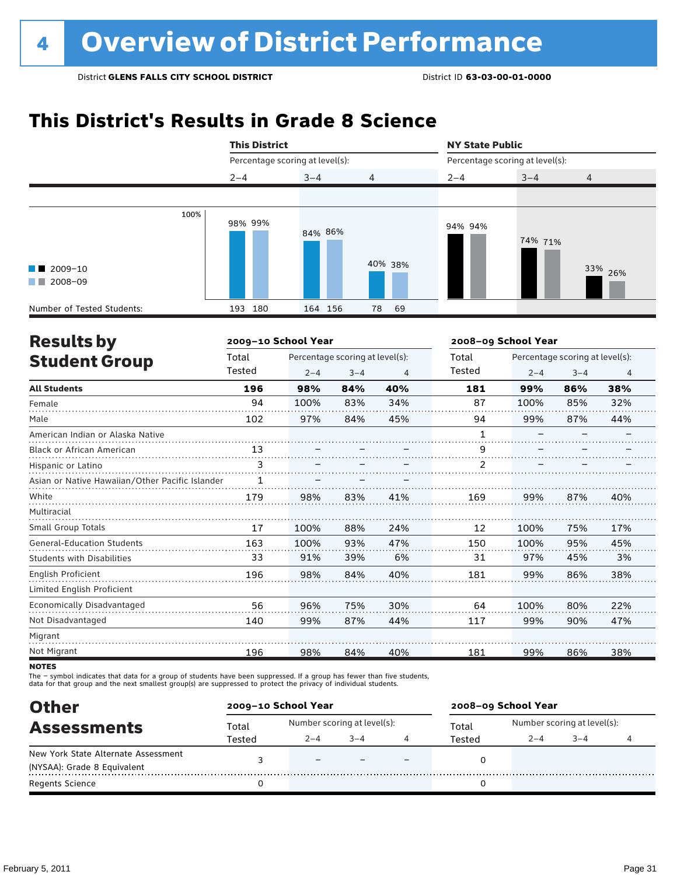# **This District's Results in Grade 8 Science**



| <b>Results by</b>                               |        | 2009-10 School Year |                                 |     | 2008-09 School Year |                                 |         |     |  |
|-------------------------------------------------|--------|---------------------|---------------------------------|-----|---------------------|---------------------------------|---------|-----|--|
| <b>Student Group</b>                            | Total  |                     | Percentage scoring at level(s): |     |                     | Percentage scoring at level(s): |         |     |  |
|                                                 | Tested | $2 - 4$             | $3 - 4$                         | 4   | Tested              | $2 - 4$                         | $3 - 4$ | 4   |  |
| <b>All Students</b>                             | 196    | 98%                 | 84%                             | 40% | 181                 | 99%                             | 86%     | 38% |  |
| Female                                          | 94     | 100%                | 83%                             | 34% | 87                  | 100%                            | 85%     | 32% |  |
| Male                                            | 102    | 97%                 | 84%                             | 45% | 94                  | 99%                             | 87%     | 44% |  |
| American Indian or Alaska Native                |        |                     |                                 |     | 1                   |                                 |         |     |  |
| <b>Black or African American</b>                | 13     |                     |                                 |     | 9                   |                                 |         |     |  |
| Hispanic or Latino                              | 3      |                     |                                 |     |                     |                                 |         |     |  |
| Asian or Native Hawaiian/Other Pacific Islander |        |                     |                                 |     |                     |                                 |         |     |  |
| White                                           | 179    | 98%                 | 83%                             | 41% | 169                 | 99%                             | 87%     | 40% |  |
| Multiracial                                     |        |                     |                                 |     |                     |                                 |         |     |  |
| <b>Small Group Totals</b>                       | 17     | 100%                | 88%                             | 24% | 12                  | 100%                            | 75%     | 17% |  |
| <b>General-Education Students</b>               | 163    | 100%                | 93%                             | 47% | 150                 | 100%                            | 95%     | 45% |  |
| <b>Students with Disabilities</b>               | 33     | 91%                 | 39%                             | 6%  | 31                  | 97%                             | 45%     | 3%  |  |
| English Proficient                              | 196    | 98%                 | 84%                             | 40% | 181                 | 99%                             | 86%     | 38% |  |
| Limited English Proficient                      |        |                     |                                 |     |                     |                                 |         |     |  |
| <b>Economically Disadvantaged</b>               | 56     | 96%                 | 75%                             | 30% | 64                  | 100%                            | 80%     | 22% |  |
| Not Disadvantaged                               | 140    | 99%                 | 87%                             | 44% | 117                 | 99%                             | 90%     | 47% |  |
| Migrant                                         |        |                     |                                 |     |                     |                                 |         |     |  |
| Not Migrant                                     | 196    | 98%                 | 84%                             | 40% | 181                 | 99%                             | 86%     | 38% |  |
|                                                 |        |                     |                                 |     |                     |                                 |         |     |  |

**NOTES** 

The – symbol indicates that data for a group of students have been suppressed. If a group has fewer than five students,

data for that group and the next smallest group(s) are suppressed to protect the privacy of individual students.

| <b>Other</b>                        | 2009-10 School Year |                          |                             |  | 2008-09 School Year |                             |        |  |
|-------------------------------------|---------------------|--------------------------|-----------------------------|--|---------------------|-----------------------------|--------|--|
| <b>Assessments</b>                  | Total               |                          | Number scoring at level(s): |  |                     | Number scoring at level(s): |        |  |
|                                     | Tested              | $2 - 4$                  | $3 - 4$                     |  | Tested              | $2 - 4$                     | $-3-4$ |  |
| New York State Alternate Assessment |                     | $\overline{\phantom{0}}$ |                             |  |                     |                             |        |  |
| (NYSAA): Grade 8 Equivalent         |                     |                          |                             |  |                     |                             |        |  |
| Regents Science                     |                     |                          |                             |  |                     |                             |        |  |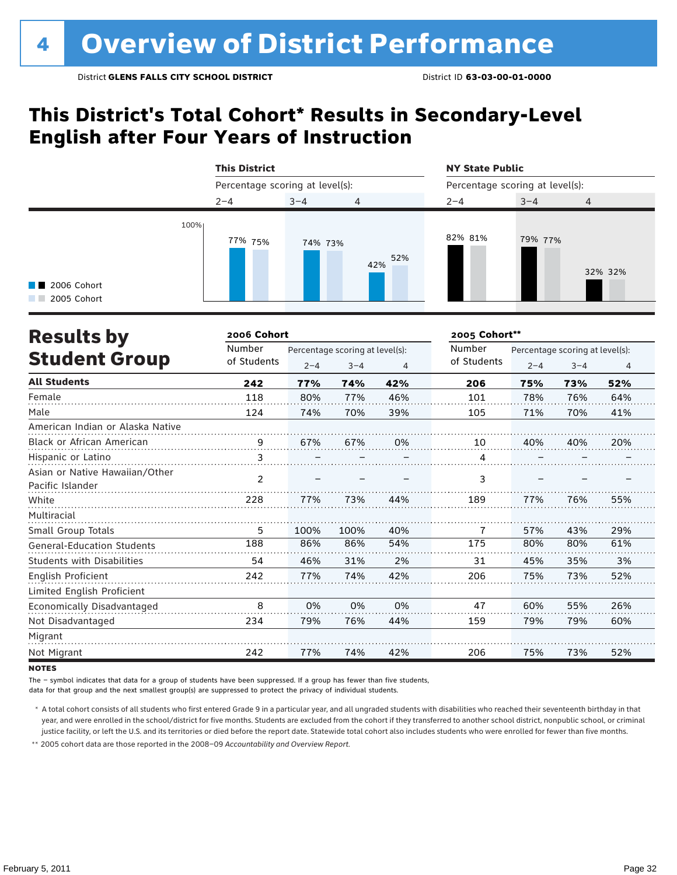# **This District's Total Cohort\* Results in Secondary-Level English after Four Years of Instruction**

|                                     | <b>This District</b>            |         |                | <b>NY State Public</b>          |         |                |  |  |
|-------------------------------------|---------------------------------|---------|----------------|---------------------------------|---------|----------------|--|--|
|                                     | Percentage scoring at level(s): |         |                | Percentage scoring at level(s): |         |                |  |  |
|                                     | $2 - 4$                         | $3 - 4$ | $\overline{4}$ | $2 - 4$                         | $3 - 4$ | $\overline{4}$ |  |  |
| <b>1</b> 2006 Cohort<br>2005 Cohort | 100%<br>77% 75%                 | 74% 73% | 52%<br>42%     | 82% 81%                         | 79% 77% | 32% 32%        |  |  |

| <b>Results by</b>                                  | 2006 Cohort    |                                 |         |     | 2005 Cohort** |                                 |         |     |
|----------------------------------------------------|----------------|---------------------------------|---------|-----|---------------|---------------------------------|---------|-----|
|                                                    | Number         | Percentage scoring at level(s): |         |     | Number        | Percentage scoring at level(s): |         |     |
| <b>Student Group</b>                               | of Students    | $2 - 4$                         | $3 - 4$ | 4   | of Students   | $2 - 4$                         | $3 - 4$ | 4   |
| <b>All Students</b>                                | 242            | 77%                             | 74%     | 42% | 206           | 75%                             | 73%     | 52% |
| Female                                             | 118            | 80%                             | 77%     | 46% | 101           | 78%                             | 76%     | 64% |
| Male                                               | 124            | 74%                             | 70%     | 39% | 105           | 71%                             | 70%     | 41% |
| American Indian or Alaska Native                   |                |                                 |         |     |               |                                 |         |     |
| <b>Black or African American</b>                   | 9              | 67%                             | 67%     | 0%  | 10            | 40%                             | 40%     | 20% |
| Hispanic or Latino                                 | 3              |                                 |         |     | 4             |                                 |         |     |
| Asian or Native Hawaiian/Other<br>Pacific Islander | $\overline{2}$ |                                 |         |     | 3             |                                 |         |     |
| White                                              | 228            | 77%                             | 73%     | 44% | 189           | 77%                             | 76%     | 55% |
| Multiracial                                        |                |                                 |         |     |               |                                 |         |     |
| Small Group Totals                                 | 5              | 100%                            | 100%    | 40% | 7             | 57%                             | 43%     | 29% |
| General-Education Students                         | 188            | 86%                             | 86%     | 54% | 175           | 80%                             | 80%     | 61% |
| <b>Students with Disabilities</b>                  | 54             | 46%                             | 31%     | 2%  | 31            | 45%                             | 35%     | 3%  |
| English Proficient                                 | 242            | 77%                             | 74%     | 42% | 206           | 75%                             | 73%     | 52% |
| Limited English Proficient                         |                |                                 |         |     |               |                                 |         |     |
| Economically Disadvantaged                         | 8              | 0%                              | 0%      | 0%  | 47            | 60%                             | 55%     | 26% |
| Not Disadvantaged                                  | 234            | 79%                             | 76%     | 44% | 159           | 79%                             | 79%     | 60% |
| Migrant                                            |                |                                 |         |     |               |                                 |         |     |
| Not Migrant                                        | 242            | 77%                             | 74%     | 42% | 206           | 75%                             | 73%     | 52% |

**NOTES** 

The – symbol indicates that data for a group of students have been suppressed. If a group has fewer than five students,

data for that group and the next smallest group(s) are suppressed to protect the privacy of individual students.

 \* A total cohort consists of all students who first entered Grade 9 in a particular year, and all ungraded students with disabilities who reached their seventeenth birthday in that year, and were enrolled in the school/district for five months. Students are excluded from the cohort if they transferred to another school district, nonpublic school, or criminal justice facility, or left the U.S. and its territories or died before the report date. Statewide total cohort also includes students who were enrolled for fewer than five months.

 \*\* 2005 cohort data are those reported in the 2008–09 *Accountability and Overview Report*.